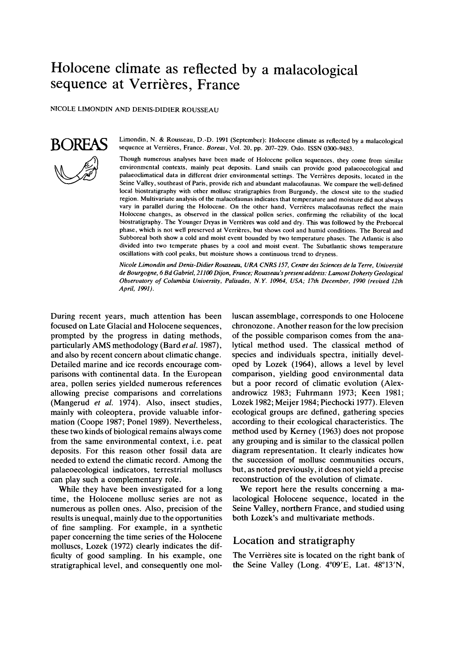# Holocene climate as reflected by a malacological sequence at Verrières, France

NICOLE LIMONDIN AND DENIS-DIDIER ROUSSEAU



Limondin, N. & Rousseau, D.-D. 1991 (September): Holocene climate as reflected by a malacological sequence at Verrieres, France. *Boreas,* VOI. 20, pp. 207-229. OSIO. **ISSN 03m-9483.** 

Though numerous analyses have been made of Holocene pollen sequences, they come from similar environmental contexts, mainly peat deposits. Land snails can provide good palaeoecological and palaeoclimatical data in different drier environmental settings. The Verrières deposits, located in the Seine Valley, southeast of Paris, provide rich and abundant malacofaunas. We compare the well-defined local biostratigraphy with other mollusc stratigraphies from Burgundy, the closest site to the studied region. Multivariate analysis of the malacofaunas indicates that temperature and moisture did not always vary in parallel during the Holocene. On the other hand, Verrieres malacofaunas reflect the main Holocene changes, as observed in the classical pollen series, confirming the reliability of the local biostratigraphy. The Younger Dryas in Verrieres was cold and dry. This was followed by the Preboreal phase, which is not well preserved at Verrières, but shows cool and humid conditions. The Boreal and Subboreal both show a cold and moist event bounded by two temperature phases. The Atlantic is also divided into two temperate phases by a cool and moist event. The Subatlantic shows temperature oscillations with cool peaks, but moisture shows a continuous trend **to** dryness.

*Nicole Limondin and Denis-Didier Rousseau, URA CNRS 157, Centre des Sciences de la Terre, Uniuersitd de Bourgogne, 6 Bd Gabriel, 21100 Dijon. France; Rousseau's present address: Lamont Doherg Geological Observatory* of *Columbia University, Palisades, N. Y. 10964, USA; 17th December, 1990 (revised 12th April, 1991).* 

During recent years, much attention has been focused on Late Glacial and Holocene sequences, prompted by the progress in dating methods, particularly AMS methodology (Bard et *al.* 1987), and also by recent concern about climatic change. Detailed marine and ice records encourage comparisons with continental data. In the European area, pollen series yielded numerous references allowing precise comparisons and correlations (Mangerud et *al.* 1974). Also, insect studies, mainly with coleoptera, provide valuable information (Coope 1987; Ponel 1989). Nevertheless, these two kinds of biological remains always come from the same environmental context, i.e. peat deposits. For this reason other fossil data are needed to extend the climatic record. Among the palaeoecological indicators, terrestrial molluscs can play such a complementary role.

While they have been investigated for a long time, the Holocene mollusc series are not as numerous as pollen ones. Also, precision of the results is unequal, mainly due to the opportunities of fine sampling. For example, in a synthetic paper concerning the time series of the Holocene<br>mallyces Location and stratigraphy<br>mallyces Location and stratigraphy molluscs, Lozek (1972) clearly indicates the difficulty of good sampling. In his example, one stratigraphical level, and consequently one mol-

luscan assemblage, corresponds to one Holocene chronozone. Another reason for the low precision of the possible comparison comes from the analytical method used. The classical method of species and individuals spectra, initially developed by Lozek (1964), allows a level by level comparison, yielding good environmental data but a poor record of climatic evolution (Alexandrowicz 1983; Fuhrmann 1973; Keen 1981; Lozek 1982; Meijer 1984; Piechocki 1977). Eleven ecological groups are defined, gathering species according to their ecological characteristics. The method used by Kerney (1963) does not propose any grouping and is similar to the classical pollen diagram representation. It clearly indicates how the succession of mollusc communities occurs, but, as noted previously, it does not yield a precise reconstruction of the evolution of climate.

We report here the results concerning a malacological Holocene sequence, located in the Seine Valley, northern France, and studied using both Lozek's and multivariate methods.

The Verrières site is located on the right bank of the Seine Valley (Long. **4"09'E,** Lat. 48"13'N,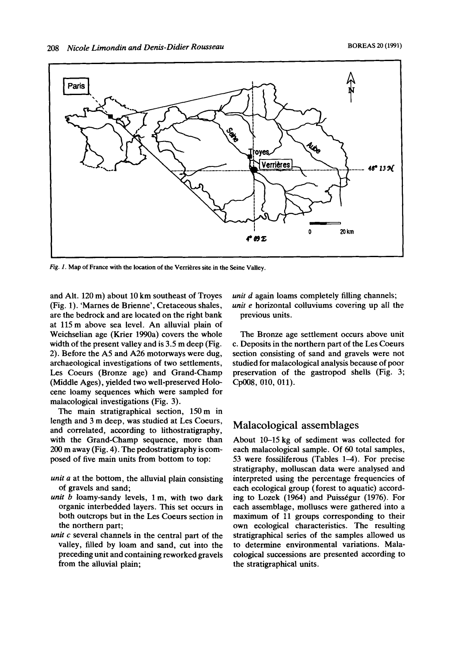

*Fig. 1.* Map of France with the location of the Verrières site in the Seine Valley.

and Alt. 120 m) about 10 km southeast of Troyes (Fig. 1). 'Marnes de Brienne', Cretaceous shales, are the bedrock and are located on the right bank at 115m above sea level. An alluvial plain of Weichselian age (Krier 1990a) covers the whole width of the present valley and is 3.5 m deep (Fig. 2). Before the **A5** and A26 motorways were dug, archaeological investigations of **two** settlements, **Les** Coeurs (Bronze age) and Grand-Champ (Middle Ages), yielded two well-preserved Holocene loamy sequences which were sampled for malacological investigations (Fig. 3).

The main stratigraphical section, 150 m in length and 3 m deep, was studied at Les Coeurs, and correlated, according to lithostratigraphy, with the Grand-Champ sequence, more than 200 m away (Fig. **4).** The pedostratigraphy is composed of five main units from bottom to top:

- *unit a* at the bottom, the alluvial plain consisting of gravels and sand;
- *unit* b loamy-sandy levels, 1 m, with two dark organic interbedded layers. This set occurs in both outcrops but in the **Les** Coeurs section in the northern part;
- *unit* **c** several channels in the central part of the valley, filled by loam and sand, cut into the preceding unit and containing reworked gravels from the alluvial plain;

*unit d* again loams completely filling channels; *unit e* horizontal colluviums covering up all the previous units.

The Bronze age settlement occurs above unit c. Deposits in the northern part of the Les Coeurs section consisting of sand and gravels were not studied for malacological analysis because of poor preservation of the gastropod shells (Fig. 3; Cp008, 010, 011).

## Malacological assemblages

About **10-15** kg of sediment was collected for each malacological sample. Of 60 total samples, **53** were fossiliferous (Tables 1-4). For precise stratigraphy, molluscan data were analysed and interpreted using the percentage frequencies of each ecological group (forest to aquatic) according to Lozek (1964) and Puisségur (1976). For each assemblage, molluscs were gathered into a maximum of 11 groups corresponding to their own ecological characteristics. The resulting stratigraphical series of the samples allowed us to determine environmental variations. Malacological successions are presented according to the stratigraphical units.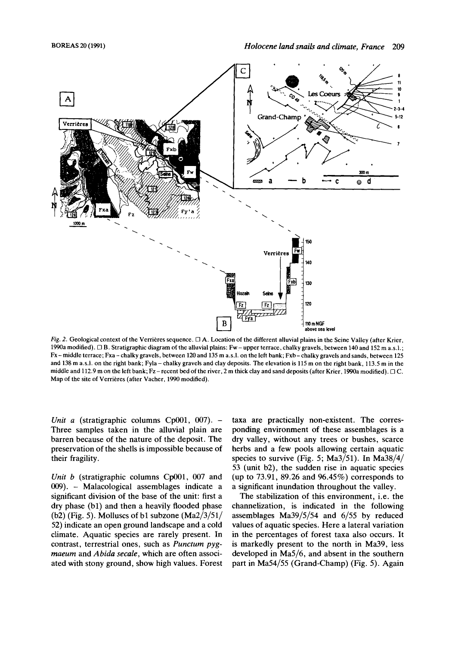

*Fig. 2.* Geological context of the Verrieres sequence. *0* **A.** Location of the different alluvial plains in the Seine Valley (after Krier, 1990a modified). *0* B. Stratigraphic diagram of the alluvial plains: Fw-upper terrace, chalky gravels, between 140 and 152 m a.s.1.; Fx-middle terrace; Fxa- chalky gravels, between 120 and 135 m a.s.1. on the left bank; Fxb-chalkygravels and sands, between 125 and 138 m a.s.l. on the right bank; Fyla - chalky gravels and clay deposits. The elevation is 115 m on the right bank, 113.5 m in the middle and 112.9 m on the left bank; Fz - recent bed of the river, 2 m thick clay and sand deposits (after Krier, 1990a modified). *0* C. Map of the site of Verrieres (after Vacher, 1990 modified).

*Unit a* (stratigraphic columns Cp001, 007). -Three samples taken in the alluvial plain are barren because of the nature of the deposit. The preservation of the shells is impossible because of their fragility.

*Unit b* (stratigraphic columns Cp001, 007 and 009). - Malacological assemblages indicate a significant division of the base of the unit: first a dry phase (bl) and then a heavily flooded phase (b2) (Fig. 5). Molluscs of bl subzone (Ma2/3/51/ 52) indicate an open ground landscape and a cold climate. Aquatic species are rarely present. In contrast, terrestrial ones, such as *Punctum pygmaeum* and *Abida secale,* which are often associated with stony ground, show high values. Forest taxa are practically non-existent. The corresponding environment of these assemblages is a dry valley, without any trees or bushes, scarce herbs and a few pools allowing certain aquatic species to survive (Fig. **5;** Ma3/51). In Ma38/4/ **53** (unit b2), the sudden rise in aquatic species (up to 73.91, 89.26 and 96.45%) corresponds to a significant inundation throughout the valley.

The stabilization of this environment, i.e. the channelization, is indicated in the following assemblages Ma39/5/54 and 6/55 by reduced values of aquatic species. Here a lateral variation in the percentages of forest taxa also occurs. It is markedly present to the north in Ma39, less developed in Ma5/6, and absent in the southern part in Ma54/55 (Grand-Champ) (Fig. 5). Again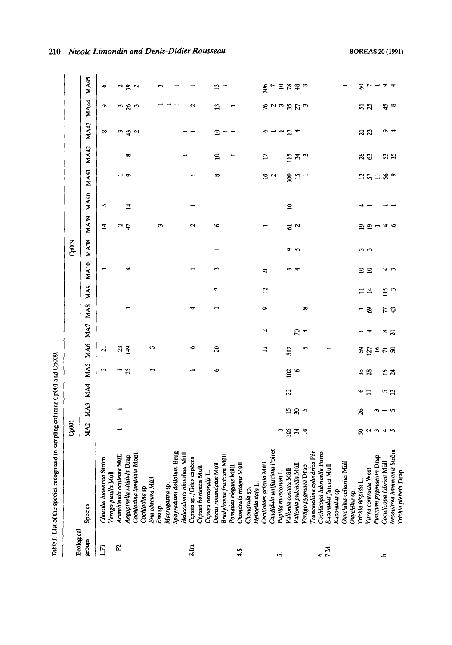|               | <br> <br> <br> |
|---------------|----------------|
|               |                |
| $\frac{1}{2}$ |                |
|               |                |
| i anno 1      |                |
|               |                |
| ļ             |                |

|                  | Table 1. List of the species recognized in sampling columns Cp001 and Cp009. |                 |                            |                |               |                |                |            |                 |             |             |                         |              |               |              |             |                    |                                                                   | 210                                       |
|------------------|------------------------------------------------------------------------------|-----------------|----------------------------|----------------|---------------|----------------|----------------|------------|-----------------|-------------|-------------|-------------------------|--------------|---------------|--------------|-------------|--------------------|-------------------------------------------------------------------|-------------------------------------------|
| Ecological       |                                                                              | Cp001           |                            |                |               |                |                |            |                 |             | Cp009       |                         |              |               |              |             |                    |                                                                   |                                           |
| sdnorf           | Species                                                                      | MA <sub>2</sub> | MA3                        | MA4            | MAS           | MA6            | MA7            | <b>MA8</b> | MA <sub>9</sub> | <b>MA10</b> | <b>MA38</b> | <b>MA39</b>             | <b>MA40</b>  | <b>MA41</b>   | <b>MA42</b>  | <b>MA43</b> | <b>MA44</b>        | <b>MA45</b>                                                       |                                           |
| $\Xi$            | Clausilia bidentata Ström<br>Vertigo pusilla Müll                            |                 |                            |                | Z             | ដ              |                |            |                 |             |             | $\overline{1}$          | S            |               |              | ∞           | ç                  | $\bullet$                                                         | Nicole Limondin and Denis-Didier Rousseau |
| E                | Acanthinula aculeata Müll                                                    |                 |                            |                |               |                |                |            |                 |             |             |                         |              |               |              |             |                    |                                                                   |                                           |
|                  | Aegopinella nitidula Drap                                                    |                 |                            |                | $\frac{1}{2}$ | 39             |                |            |                 | 4           |             | $\frac{2}{3}$           | 14           | ہ -           | œ            | ကဗ္ဗာလ      | ო ჯო               | $\frac{2}{3}a$                                                    |                                           |
|                  | Cochlodina laminata Mont<br>Cochlodina sp.                                   |                 |                            |                |               |                |                |            |                 |             |             |                         |              |               |              |             |                    |                                                                   |                                           |
|                  | Ena obscura Müll                                                             |                 |                            |                |               | ొ              |                |            |                 |             |             |                         |              |               |              |             |                    |                                                                   |                                           |
|                  | Ena sp.                                                                      |                 |                            |                |               |                |                |            |                 |             |             | S                       |              |               |              |             |                    | S                                                                 |                                           |
|                  | Macrogastra sp.                                                              |                 |                            |                |               |                |                |            |                 |             |             |                         |              |               |              |             |                    |                                                                   |                                           |
|                  | Sphyradium doliolum Brug                                                     |                 |                            |                |               |                |                |            |                 |             |             |                         |              |               |              |             |                    |                                                                   |                                           |
|                  | Helicodonta obvoluta Müll                                                    |                 |                            |                |               |                |                |            |                 |             |             |                         |              |               |              |             |                    |                                                                   |                                           |
| 2.1 <sub>m</sub> | Cepaea sp./Gdes espèces                                                      |                 |                            |                |               | ∾              |                |            |                 |             |             | $\overline{\mathbf{c}}$ |              |               |              |             | $\mathbf{\hat{c}}$ |                                                                   |                                           |
|                  | Cepaea hortensis Müll                                                        |                 |                            |                |               |                |                |            |                 |             |             |                         |              |               |              |             |                    |                                                                   |                                           |
|                  | Cepaea nemoralis L.                                                          |                 |                            |                |               |                |                |            |                 |             |             |                         |              |               |              |             |                    |                                                                   |                                           |
|                  | Discus rotundatus Müll                                                       |                 |                            |                | o             | $\mathbf{a}$   |                |            | r               | 3           | −           | o                       |              | ∞             | $\mathbf{S}$ | ≘           | ះ                  | ្ម                                                                |                                           |
|                  | Bradybaena fruticum Müll                                                     |                 |                            |                |               |                |                |            |                 |             |             |                         |              |               |              |             |                    |                                                                   |                                           |
|                  | Pomatias elegans Müll                                                        |                 |                            |                |               |                |                |            |                 |             |             |                         |              |               |              |             |                    |                                                                   |                                           |
| 4.S              | Chondrula tridens Müll                                                       |                 |                            |                |               |                |                |            |                 |             |             |                         |              |               |              |             |                    |                                                                   |                                           |
|                  | Chondrula sp.                                                                |                 |                            |                |               |                |                |            |                 |             |             |                         |              |               |              |             |                    |                                                                   |                                           |
|                  | Helicella itala L.                                                           |                 |                            |                |               |                |                |            |                 |             |             |                         |              |               |              |             |                    |                                                                   |                                           |
|                  | Cecilioides acicula Müll                                                     |                 |                            |                |               | $\overline{1}$ | 2              | ò          | $\overline{a}$  | 21          |             |                         |              |               | H            |             |                    |                                                                   |                                           |
|                  | Candidula unifasciata Poiret                                                 |                 |                            |                |               |                |                |            |                 |             |             |                         |              | $\frac{1}{2}$ |              | $\sim$ $ -$ |                    |                                                                   |                                           |
| 'n               | Pupilla muscorum L.                                                          |                 |                            |                |               |                |                |            |                 |             |             |                         |              |               |              |             |                    |                                                                   |                                           |
|                  | Vallonia costata Müll                                                        | ຶ້≌ສ≘           | ນສູ                        | 22             | $\frac{5}{6}$ | 512            |                |            |                 | ო 4         | ە ھ         | $\frac{1}{2}$           | $\mathbf{a}$ | $28.5 -$      | ≌ສຕ          | 74<br>24    | あるきがかる             | $\frac{8}{8}$ r $\approx$ $\approx$ $\approx$ $\approx$ $\approx$ |                                           |
|                  | Vallonia pulchella Müll                                                      |                 |                            |                |               |                | ೯ 4            |            |                 |             |             |                         |              |               |              |             |                    |                                                                   |                                           |
|                  | Vertigo pygmaea Drap                                                         |                 |                            |                |               | n              |                | $\infty$   |                 |             |             |                         |              |               |              |             |                    |                                                                   |                                           |
|                  | Truncatellina cylindrica Fér                                                 |                 |                            |                |               |                |                |            |                 |             |             |                         |              |               |              |             |                    |                                                                   |                                           |
| $6\frac{M}{L}$   | Cochlicopa lubricella Porro                                                  |                 |                            |                |               |                |                |            |                 |             |             |                         |              |               |              |             |                    |                                                                   |                                           |
|                  | Euconulus futvus Mull                                                        |                 |                            |                |               |                |                |            |                 |             |             |                         |              |               |              |             |                    |                                                                   |                                           |
|                  | Euconulus sp.                                                                |                 |                            |                |               |                |                |            |                 |             |             |                         |              |               |              |             |                    |                                                                   |                                           |
|                  | Oxychilus cellarius Müll                                                     |                 |                            |                |               |                |                |            |                 |             |             |                         |              |               |              |             |                    |                                                                   |                                           |
|                  | Trichia hispida L<br>Oxychilus sp.                                           |                 | $\boldsymbol{\mathcal{S}}$ |                |               |                |                |            |                 |             |             |                         |              |               |              |             |                    |                                                                   |                                           |
|                  | Vitrea contracta West                                                        | 80040           |                            | $\frac{6}{11}$ | 38            |                | – +            | - 3        | $\Xi \equiv$    | $\Xi$ $\Xi$ | ς,          | ఐ ఇ                     |              | $25289$       | 83           | ដ ន         | <u>ສ ສ</u>         | 80-04                                                             |                                           |
|                  |                                                                              |                 |                            |                |               |                |                |            |                 |             |             |                         |              |               |              |             |                    |                                                                   |                                           |
| ᅩ                | Punctum pygmaeum Drap                                                        |                 | S                          |                |               |                |                |            |                 |             |             |                         |              |               |              |             |                    |                                                                   |                                           |
|                  | Cochlicopa lubrica Müll                                                      |                 | $-5$                       | ັນ ມີ          | 27            |                | $\frac{8}{20}$ | けお         | $\frac{15}{3}$  | 45          |             | 46                      |              |               | 33           | $\sigma$ 4  | ఛ ∞                |                                                                   |                                           |
|                  | Nesovitrea hammonis Ström<br>Trichia plebeia Drap                            |                 |                            |                |               |                |                |            |                 |             |             |                         |              |               |              |             |                    |                                                                   | <b>BOREAS 20 (1991)</b>                   |
|                  |                                                                              |                 |                            |                |               |                |                |            |                 |             |             |                         |              |               |              |             |                    |                                                                   |                                           |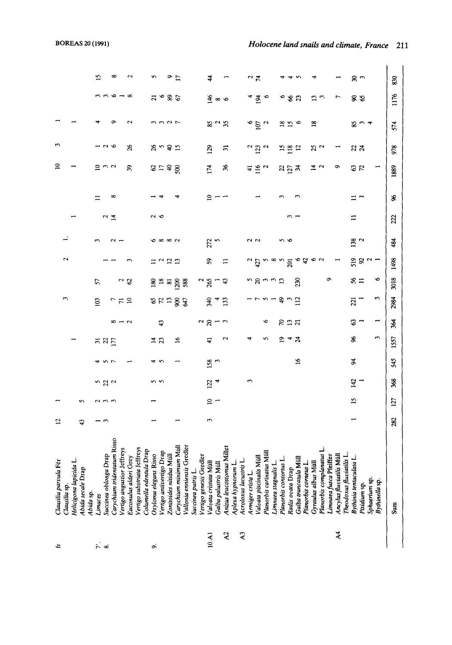| È              | Clausilia parvula Fér                                                          | 53  |     |                  |                  |               |                  |                        |                            |                    |                    |               |                | ≘              | 3              |                                    |                             |                |
|----------------|--------------------------------------------------------------------------------|-----|-----|------------------|------------------|---------------|------------------|------------------------|----------------------------|--------------------|--------------------|---------------|----------------|----------------|----------------|------------------------------------|-----------------------------|----------------|
|                | Clausilia sp.                                                                  |     |     |                  |                  |               |                  | ω                      |                            | 2                  |                    |               |                |                |                |                                    |                             |                |
|                | Helicigona lapicida L                                                          |     |     |                  |                  |               |                  |                        |                            |                    |                    |               |                |                |                |                                    |                             |                |
|                | Abida secale Drap                                                              | 9   | S   |                  |                  |               |                  |                        |                            |                    |                    |               |                |                |                |                                    |                             |                |
|                | Abida sp.                                                                      |     |     |                  |                  |               |                  |                        |                            |                    |                    |               |                |                |                |                                    |                             |                |
| نه جَ          | Limaces                                                                        |     |     |                  |                  |               |                  | $\Xi$                  | 57                         |                    |                    |               | ።              |                |                |                                    |                             | 15             |
|                |                                                                                |     |     | 5<br>2<br>2<br>2 | $\frac{5}{2}$    |               |                  |                        |                            |                    |                    | $\frac{2}{4}$ |                | ≘ ຕ ຕ          | $\sim$         |                                    | ოოდ                         |                |
|                | Succinea oblonga Drap<br>Carychium tridentatum Risso                           |     |     |                  |                  |               |                  | 779                    |                            |                    |                    |               | $^{\circ}$     |                |                |                                    |                             | $\infty$       |
|                | Vertigo angustior Jeffreys                                                     |     |     |                  |                  |               | $8 - 7$          |                        | $^2$ $^2$                  |                    |                    |               |                |                |                |                                    |                             |                |
|                | Euconulus alderi Grey                                                          |     |     |                  |                  |               |                  |                        |                            |                    |                    |               |                | $\mathfrak{F}$ | 26             | 2                                  | $\infty$                    | S              |
|                | treys<br>Vertigo substriata Jeff                                               |     |     |                  |                  |               |                  |                        |                            |                    |                    |               |                |                |                |                                    |                             |                |
|                | rap<br>Columella edentula D                                                    |     |     |                  |                  |               |                  |                        |                            |                    |                    |               |                |                |                |                                    |                             |                |
| ö              | ġ<br>Oxyloma elegans Riss                                                      |     |     | ທ ທ              | ᢦ                | $\frac{4}{2}$ |                  | $\frac{2}{3}$          | $\frac{8}{2}$              | $\equiv$ $\approx$ |                    | 2 O           |                |                |                |                                    | $\overline{a}$              | s              |
|                | Vertigo antivertigo Drap                                                       |     |     |                  | S                |               | $\ddot{4}$       |                        | $\frac{18}{81}$            |                    | စေထာက              |               |                | 8:5            | నిందన          | 3327                               | $\bullet$                   |                |
|                | ₹<br>Zonioides nitidus Mi                                                      |     |     |                  |                  |               |                  | $\mathbf{13}$          |                            | $\frac{2}{1}$      |                    |               |                |                |                |                                    | 36                          | $\frac{9}{17}$ |
|                | Müll<br>Carychium minimum                                                      |     |     |                  |                  | $\mathbf{e}$  |                  | $\mathbf{\mathcal{S}}$ | 200                        |                    |                    |               |                | $\mathbf{8}$   |                |                                    |                             |                |
|                | Vallonia enniensis Gredler                                                     |     |     |                  |                  |               |                  | $\mathfrak{B}$         | 588                        |                    |                    |               |                |                |                |                                    |                             |                |
|                | Succinea putris L.                                                             |     |     |                  |                  |               |                  |                        |                            |                    |                    |               |                |                |                |                                    |                             |                |
|                | Vertigo genesii Gredler                                                        |     |     |                  |                  |               |                  |                        |                            |                    |                    |               |                |                |                |                                    |                             |                |
| 10.A1          | Valvata cristata Müll                                                          | 3   |     | 122              | $\frac{158}{3}$  | ਚ             | $\frac{2}{20}$   | 340                    | $\frac{2}{5}$              | 59                 | 272                |               | ≘              | 174            | 129            |                                    |                             | $\frac{4}{5}$  |
|                | Galba palustris Müll                                                           |     | ≘ ⊤ |                  |                  |               |                  |                        |                            |                    |                    |               |                |                |                | $8^{\circ}$ $\degree$ $35^{\circ}$ | $\frac{4}{3} \times \infty$ |                |
| $\mathbf{z}$   | Anisus leucostomus Millet                                                      |     |     |                  |                  | $\sim$        | c                | 133                    | $\boldsymbol{\mathcal{L}}$ | Ξ                  |                    |               |                | $\mathcal{L}$  | $\Xi$          |                                    |                             |                |
|                | Aplexa hypnorum L.                                                             |     |     |                  |                  |               |                  |                        |                            |                    |                    |               |                |                |                |                                    |                             |                |
| $\mathbf{A}^3$ | Acroloxus lacustris L                                                          |     |     |                  |                  |               |                  |                        |                            |                    |                    |               |                |                |                |                                    |                             |                |
|                | Armiger crista L.                                                              |     |     | S                |                  |               |                  |                        |                            | $rac{2}{427}$      | 22                 |               |                | $\mathbf{r}$   | N              |                                    | 4                           |                |
|                | Valvata piscinalis Mi                                                          |     |     |                  |                  |               |                  |                        | ′ັ ຊ                       |                    |                    |               |                | $\frac{16}{2}$ | 123            | $\frac{6}{9}$                      | $\mathfrak{g}$              | $\frac{2}{7}$  |
|                | Planorbis carinatus Müll                                                       |     |     |                  |                  |               | ۴                |                        | ຕຕຕ                        | ທ∞ທ                |                    |               |                |                | $\sim$         | $\sim$                             | $\bullet$                   |                |
|                | Limnaea stagnalis L                                                            |     |     |                  |                  |               |                  |                        |                            |                    |                    |               |                |                |                |                                    |                             |                |
|                | Planorbis contortus                                                            |     |     |                  |                  | ≘             | $R \nsupseteq R$ | $\mathbf{a}$           |                            |                    | ທ ທ                |               |                | ង គ្ម #        | $\frac{15}{2}$ |                                    | ७                           |                |
|                | Radix ovata Drap                                                               |     |     |                  |                  | ᢦ             |                  |                        |                            | 201                |                    | ∾             |                |                |                | $\frac{8}{15}$ $\frac{6}{9}$       | 82                          | ᢦ              |
|                | Galba truncatula Müll                                                          |     |     |                  | $\tilde{a}$      | $\mathbb{Z}$  |                  | $\Xi$                  | 230                        | Ģ                  |                    |               |                |                | $\overline{5}$ |                                    |                             | S              |
|                | Planorbis corneus L.                                                           |     |     |                  |                  |               |                  |                        |                            | a,                 |                    |               |                |                |                |                                    |                             |                |
|                | Gyraulus albus Müll                                                            |     |     |                  |                  |               |                  |                        |                            | o                  |                    |               |                | $\vec{a}$ a    | 23             | $\frac{8}{16}$                     | $\frac{3}{3}$               | 4              |
|                | Planorbis complanatus L                                                        |     |     |                  |                  |               |                  |                        |                            | $\sim$             |                    |               |                |                |                |                                    |                             |                |
|                | Pianorow versig<br>Limnaea fusca Pfeiffer<br>**** <sup>a</sup> rrriatilis Müll |     |     |                  |                  |               |                  |                        | σ                          |                    |                    |               |                |                |                |                                    |                             |                |
| $\lambda$ 4    |                                                                                |     |     |                  |                  |               |                  |                        |                            |                    |                    |               |                | ō              |                |                                    | $\overline{ }$              |                |
|                | Theodoxus fluviatilis L                                                        |     |     |                  |                  |               |                  |                        |                            |                    |                    |               |                |                |                |                                    |                             |                |
|                | Bythinia tentaculata                                                           |     | 15  | 142              | $\boldsymbol{z}$ | æ             | 3                | $\overline{z}$         | 56 <sub>1</sub>            | ង ខ - -            | 138                | $\mathbf{1}$  | $\overline{1}$ | $\frac{3}{2}$  | ಇ ಸ            |                                    | 88                          | జి చ           |
|                | Pisidium sp.                                                                   |     |     |                  |                  |               |                  |                        |                            |                    | $\mathbf{\hat{c}}$ |               |                |                |                | సి ట4                              |                             |                |
|                | Sphaerium sp                                                                   |     |     |                  |                  |               |                  |                        |                            |                    |                    |               |                |                |                |                                    |                             |                |
|                | Bythinella sp.                                                                 |     |     |                  |                  | E             | −                | 3                      | ۰o                         |                    |                    |               |                | $\overline{ }$ |                |                                    |                             |                |
|                | Sum                                                                            | 282 | 127 | 368              | 545              | 1557          | 364              | 2984                   | 3018                       | 1498               | 484                | 222           | æ              | 1889           | 978            | 574                                | 1176                        | 830            |
|                |                                                                                |     |     |                  |                  |               |                  |                        |                            |                    |                    |               |                |                |                |                                    |                             |                |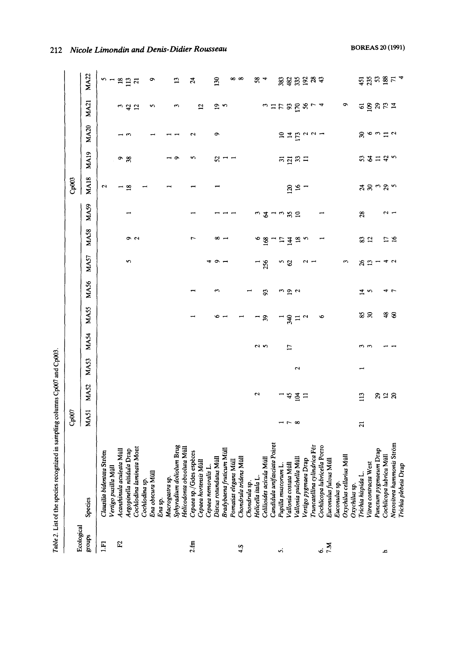| l<br>֚֚֘֝ |
|-----------|
|           |
| ı         |
|           |
| ۱         |
|           |
|           |
|           |
| ĺ         |

|                      |                                                                  | Cp007                         |              |      |                |                |                  |                 |                         |             | Cp003                |             |                                                                                           |                |                       |
|----------------------|------------------------------------------------------------------|-------------------------------|--------------|------|----------------|----------------|------------------|-----------------|-------------------------|-------------|----------------------|-------------|-------------------------------------------------------------------------------------------|----------------|-----------------------|
| Ecological<br>groups | Species                                                          | MA51                          | <b>MA52</b>  | MA53 | <b>MA54</b>    | MA55           | <b>MA56</b>      | MA57            | <b>MA58</b>             | <b>MA59</b> | <b>MA18</b>          | <b>MA19</b> | <b>MA20</b>                                                                               | <b>MA21</b>    | <b>MA22</b>           |
| $E_1$                | Strom<br>Clausilia bidentata                                     |                               |              |      |                |                |                  |                 |                         |             | 2                    |             |                                                                                           |                |                       |
|                      | Vertigo pusilla Mül                                              |                               |              |      |                |                |                  |                 |                         |             |                      |             |                                                                                           |                |                       |
| $\mathbf{E}$         | Acanthinula aculeata Müll                                        |                               |              |      |                |                |                  |                 |                         |             |                      |             |                                                                                           |                | $n - n$ $n = n$       |
|                      | Aegopinella nitidula Drap                                        |                               |              |      |                |                |                  | 5               |                         |             | - ≌                  | ం జ         |                                                                                           |                |                       |
|                      | Cochlodina laminata Mont                                         |                               |              |      |                |                |                  |                 | م م                     |             |                      |             |                                                                                           | ು ಧೆ<br>ವಿ     |                       |
|                      | Cochlodina sp.                                                   |                               |              |      |                |                |                  |                 |                         |             |                      |             |                                                                                           |                |                       |
|                      | Ena obscura Müll                                                 |                               |              |      |                |                |                  |                 |                         |             |                      |             |                                                                                           | s              | ç                     |
|                      | Ena sp.                                                          |                               |              |      |                |                |                  |                 |                         |             |                      |             |                                                                                           |                |                       |
|                      | Macrogastra sp.                                                  |                               |              |      |                |                |                  |                 |                         |             |                      |             |                                                                                           |                |                       |
|                      | um Brug<br>Sphyradium dolioli                                    |                               |              |      |                |                |                  |                 |                         |             |                      | $\bullet$   |                                                                                           | S              | $\mathbf{r}$          |
|                      | Helicodonta obvoluta Müll                                        |                               |              |      |                |                |                  |                 |                         |             |                      |             |                                                                                           |                |                       |
| $2.\mathrm{fm}$      | Cepaea sp./Gdes espèces                                          |                               |              |      |                |                |                  |                 | ٣                       |             |                      | n           | ς                                                                                         |                | $\boldsymbol{z}$      |
|                      | Cepaea hortensis Müll                                            |                               |              |      |                |                |                  |                 |                         |             |                      |             |                                                                                           | $\overline{a}$ |                       |
|                      | Cepaea nemoralis 1                                               |                               |              |      |                |                |                  |                 |                         |             |                      |             |                                                                                           |                |                       |
|                      | Cepuea nemoraus L.<br>Discus rotundatus Müll                     |                               |              |      |                |                | $\mathbf \sigma$ | $\bullet \cdot$ | ∞ .                     |             |                      | 25          | ó                                                                                         |                | 130                   |
|                      | Bradybaena fruticum Müll                                         |                               |              |      |                |                |                  |                 |                         |             |                      |             |                                                                                           | <u>ო</u>       |                       |
|                      | Pomatias elegans Müll                                            |                               |              |      |                |                |                  |                 |                         |             |                      |             |                                                                                           |                | ∞                     |
| 4.5                  | <b>Müll</b><br>Chondrula tridens                                 |                               |              |      |                |                |                  |                 |                         |             |                      |             |                                                                                           |                | $\infty$              |
|                      | Chondrula sp.                                                    |                               |              |      |                |                |                  |                 |                         |             |                      |             |                                                                                           |                |                       |
|                      | Helicella itala L.                                               |                               | 2            |      |                |                |                  |                 | o                       | S           |                      |             |                                                                                           |                |                       |
|                      | Celilioides acicula Mull                                         |                               |              |      | ິ              | $\mathfrak{F}$ | 93               | 256             | $\frac{8}{2}$           | 2           |                      |             |                                                                                           | n              | $58 +$                |
|                      |                                                                  |                               |              |      |                |                |                  |                 |                         |             |                      |             |                                                                                           |                |                       |
| s.                   | Candidula unifasciata Poiret                                     |                               |              |      |                |                |                  |                 |                         | ີຕະຊ        |                      |             |                                                                                           | 758887         |                       |
|                      | Pupilla muscorum L.<br>Vallonia costata Müll<br>Pupilla muscorum |                               |              |      |                |                |                  | r 2             | H                       |             |                      |             | $\approx$                                                                                 |                |                       |
|                      |                                                                  | $\frac{1}{2}$ $\sim$ $\infty$ | $3 \times 2$ |      | $\overline{1}$ | 340            | ຕ ຊ ຕ            |                 | $\overline{4}$          |             | 120                  | គគ្នន់ដ     | $\overline{a}$ $\overline{b}$ $\overline{a}$ $\overline{a}$ $\overline{a}$ $\overline{a}$ |                | ន្តនីងខ្នង ន          |
|                      | Vallonia pulchella Müll                                          |                               |              | Z    |                | Ξ              |                  |                 | $\overline{\mathbf{3}}$ |             | $\tilde{\mathbf{5}}$ |             |                                                                                           |                |                       |
|                      | Vertigo pygmaea Drap                                             |                               |              |      |                | Z              |                  | $\sim$ $-$      |                         |             |                      |             |                                                                                           |                |                       |
|                      | Truncatellina cylindrica Fér                                     |                               |              |      |                |                |                  |                 |                         |             |                      |             |                                                                                           |                |                       |
| $\frac{1}{2}$        | Cochlicopa lubricella Porro                                      |                               |              |      |                | Ó              |                  |                 |                         |             |                      |             |                                                                                           |                |                       |
|                      | Euconulus futvus Müll                                            |                               |              |      |                |                |                  |                 |                         |             |                      |             |                                                                                           |                |                       |
|                      | Euconulus sp.                                                    |                               |              |      |                |                |                  |                 |                         |             |                      |             |                                                                                           |                |                       |
|                      | Müll<br>Oxychilus cellarius                                      |                               |              |      |                |                |                  | S               |                         |             |                      |             |                                                                                           | ۰              |                       |
|                      | Oxychilus sp.                                                    |                               |              |      |                |                |                  |                 |                         |             |                      |             |                                                                                           |                |                       |
|                      | Trichia hispida L.                                               | $\overline{a}$                | 113          |      | یں رہن         |                |                  |                 |                         | $^{28}$     |                      |             |                                                                                           | 5              |                       |
|                      | Vitrea contracta West                                            |                               |              |      |                | <b>SS</b>      | $\vec{a}$ w      | 8<br>13         | 32                      |             |                      |             |                                                                                           |                |                       |
|                      | Punctum pygmaeum Drap                                            |                               |              |      |                |                |                  |                 |                         |             | నెనొన్               | いなになっ       | 9.64                                                                                      | 8821           |                       |
| A                    | Cochlicopa lubrica Müll                                          |                               | ສະສ          |      |                |                |                  |                 |                         | $\sim$ $-$  |                      |             |                                                                                           |                |                       |
|                      | Nesovitrea hammonis Ström                                        |                               |              |      |                | \$ ຮ           | 4 L              | 47              | ロミ                      |             |                      |             | $\overline{c}$                                                                            |                | ឆ្នងនឹ <sub>ង ដ</sub> |
|                      | Trichia plebeia Drap                                             |                               |              |      |                |                |                  |                 |                         |             |                      |             |                                                                                           |                |                       |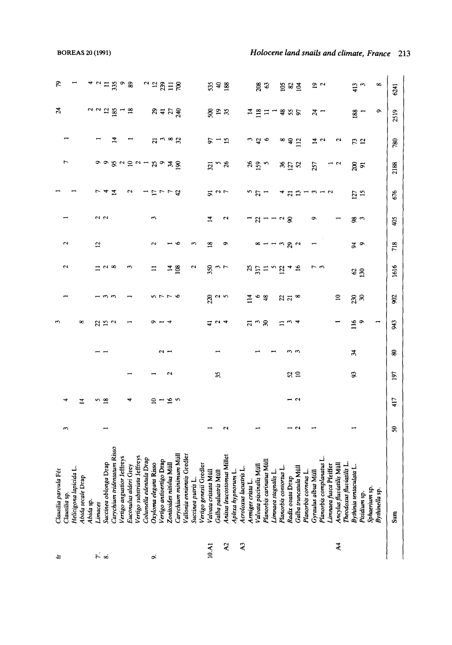| ₽                     |               |                        |                   |           |                | $\ddot{r}$ $\ddot{\circ}$ |                             |                            |                       |                             |                         | ö                     |                          |                         |                                                             |                            |                    |                         | 10.A1                 |                             | $\lambda$ 2               |                    | $\lambda$ 3            |                   |                                |                          |                     |                       |                  |                         |                      |                     |                         |                        | $\lambda$ 4             |                         |                         |              |               |                |             |
|-----------------------|---------------|------------------------|-------------------|-----------|----------------|---------------------------|-----------------------------|----------------------------|-----------------------|-----------------------------|-------------------------|-----------------------|--------------------------|-------------------------|-------------------------------------------------------------|----------------------------|--------------------|-------------------------|-----------------------|-----------------------------|---------------------------|--------------------|------------------------|-------------------|--------------------------------|--------------------------|---------------------|-----------------------|------------------|-------------------------|----------------------|---------------------|-------------------------|------------------------|-------------------------|-------------------------|-------------------------|--------------|---------------|----------------|-------------|
| Clausilia parvula Fér | Clausilia sp. | Helicigona lapicida L. | Abida secale Drap | Abida sp. | Limaces        | Succinea oblonga Drap     | Carychium tridentatum Risso | Vertigo angustior Jeffreys | Euconulus alderi Grey | Vertigo substriata Jeffreys | Columella edentula Drap | Oxyloma elegans Risso | Vertigo antivertigo Drap | Zonitoides nitiaus Müll | Carychium minimum Müll                                      | Vallonia enniensis Gredler | Succinea putris L. | Vertigo genesii Gredler | Valvata cristata Müll | Galba palustris Müll        | Anisus leucostomus Millet | Aplexa hypnorum L. | Acroloxus lacustris L. | Armiger crista L. | Valvata piscinalis Müll        | Planorbis carinatus Müll | Limnaea stagnalis L | Planorbis contornus L | Radix ovata Drap | Galba truncatula Mül    | Planorbis corneus L. | Gyraulus albus Müll | Planorbis complanatus L | Limnaea fusca Pfeiffer | Ancylus fluviatilis Mül | Theodoxus fluviatilis L | Bythinia tentaculata L. | Pisidium sp. | Sphaerium sp. | Bythinella sp. | $sum_{s}$   |
| ო                     |               |                        |                   |           |                |                           |                             |                            |                       |                             |                         |                       |                          |                         |                                                             |                            |                    |                         |                       |                             |                           |                    |                        |                   |                                |                          |                     |                       |                  | $\sim$                  |                      |                     |                         |                        |                         |                         |                         |              |               |                | 50          |
|                       |               |                        | ±                 |           | n              | ≌                         |                             |                            |                       |                             |                         |                       | $2 - 2 - 2$              |                         |                                                             |                            |                    |                         |                       |                             |                           |                    |                        |                   |                                |                          |                     |                       |                  | $\overline{\mathbf{c}}$ |                      |                     |                         |                        |                         |                         |                         |              |               |                | 417         |
|                       |               |                        |                   |           |                |                           |                             |                            |                       |                             |                         |                       |                          | N                       |                                                             |                            |                    |                         |                       | $\mathfrak{L}$              |                           |                    |                        |                   |                                |                          |                     |                       | 52               |                         |                      |                     |                         |                        |                         | S                       |                         |              |               |                | $\tilde{g}$ |
|                       |               |                        |                   |           |                |                           |                             |                            |                       |                             |                         |                       | $\sim$ $-$               |                         |                                                             |                            |                    |                         |                       |                             |                           |                    |                        |                   |                                |                          |                     |                       |                  |                         |                      |                     |                         |                        |                         | ¥,                      |                         |              |               |                | 8           |
| m                     |               |                        | œ                 |           | 232            |                           |                             |                            |                       |                             |                         |                       |                          |                         |                                                             |                            |                    |                         |                       | $\alpha$ 4                  |                           |                    |                        |                   | $\frac{1}{2}$ ក $\frac{1}{2}$  |                          |                     | $\Xi$                 |                  | ₹                       |                      |                     |                         |                        |                         |                         | $\frac{16}{9}$          |              |               | $\overline{ }$ | 943         |
|                       |               |                        |                   |           |                |                           | ო ო                         |                            |                       |                             |                         |                       | クファウ                     |                         |                                                             |                            |                    |                         |                       | ಕ್ಷ ~ ~                     |                           |                    |                        |                   | $\overline{a}$ $\circ$ $\circ$ |                          |                     |                       | 278              |                         |                      |                     |                         |                        | $\Xi$                   |                         | 298                     |              |               |                | 802         |
| Z                     |               |                        |                   |           |                | $ \sim$ $\infty$          |                             |                            | ç                     |                             |                         | ⋍                     |                          |                         | $\frac{4}{108}$                                             |                            | N                  |                         |                       | $\frac{350}{7}$             |                           |                    |                        |                   | ងឝ្គដ្ឋ                        |                          |                     | 122                   | 48               |                         |                      | 5                   |                         |                        |                         |                         | $\frac{62}{2}$          |              |               |                | 1616        |
| $\sim$                |               |                        |                   |           | $\overline{c}$ |                           |                             |                            |                       |                             |                         | $\sim$                |                          |                         | c                                                           |                            | c                  |                         | $\overline{18}$       |                             | ۰                         |                    |                        |                   | œ                              |                          | $-9.80$             |                       |                  |                         |                      |                     |                         |                        |                         |                         | కి -                    |              |               |                | 718         |
|                       |               |                        |                   |           |                | 22                        |                             |                            |                       |                             |                         | S                     |                          |                         |                                                             |                            |                    |                         | $\overline{1}$        |                             | 2                         |                    |                        |                   |                                |                          | $-2 - 9$            |                       |                  |                         |                      | ۰                   |                         |                        |                         |                         | م<br>و                  |              |               |                | 405         |
|                       |               |                        |                   |           |                | ₹                         | $\mathbf{z}$                |                            | N                     |                             |                         |                       | コロァァね                    |                         |                                                             |                            |                    |                         |                       | $5^{\circ}$                 |                           |                    |                        |                   | $5 - 7$                        |                          |                     |                       | ។ ដ ដ            |                         |                      | m                   | $\overline{z}$          |                        |                         |                         | $\frac{127}{15}$        |              |               |                | 676         |
| 1                     |               |                        |                   |           |                |                           |                             |                            |                       |                             |                         |                       | りっ 9 2 2 2 1 2 9 4 9     |                         |                                                             |                            |                    |                         |                       | $\frac{5}{2}$ $\frac{5}{2}$ |                           |                    |                        |                   | 8.99                           |                          |                     |                       | $%$ ក្នុង        |                         |                      | 257                 |                         | $ \sim$                |                         |                         | 85                      |              |               |                | 2188        |
|                       |               |                        |                   |           |                |                           | $\mathbf{1}$                |                            |                       |                             |                         |                       |                          |                         | 7.198                                                       |                            |                    |                         |                       | 5 – 5<br>2                  |                           |                    |                        |                   | $\frac{1}{2}$ $\frac{1}{2}$    |                          |                     |                       | $\frac{8}{45}$   |                         |                      | $\frac{4}{2}$ o     |                         |                        | 2                       |                         | $\frac{13}{2}$          |              |               |                | 780         |
| $\boldsymbol{z}$      |               |                        |                   |           | 7 7 2 8        |                           |                             | $\frac{1}{18}$             |                       |                             |                         |                       | 8525                     |                         |                                                             |                            |                    |                         |                       | 893                         |                           |                    |                        |                   | $\frac{48}{4}$                 |                          |                     |                       | \$85             |                         |                      | $\frac{3}{4}$ -     |                         |                        |                         |                         | 188                     |              |               | ۰              | 2519        |
| ድ                     |               |                        |                   |           | ີ່ດະມີຮ່ອ      |                           |                             |                            |                       |                             |                         |                       |                          |                         | $\degree$ $\degree$ $\degree$ $\degree$ $\degree$ $\degree$ |                            |                    |                         |                       | 2548                        |                           |                    |                        |                   | <b>283</b>                     |                          |                     |                       | <b>S&amp;</b>    |                         |                      | $\frac{5}{2}$       |                         |                        |                         |                         | $\frac{13}{3}$          |              |               | $\infty$       | 6241        |
|                       |               |                        |                   |           |                |                           |                             |                            |                       |                             |                         |                       |                          |                         |                                                             |                            |                    |                         |                       |                             |                           |                    |                        |                   |                                |                          |                     |                       |                  |                         |                      |                     |                         |                        |                         |                         |                         |              |               |                |             |

 $\pmb{\pm}$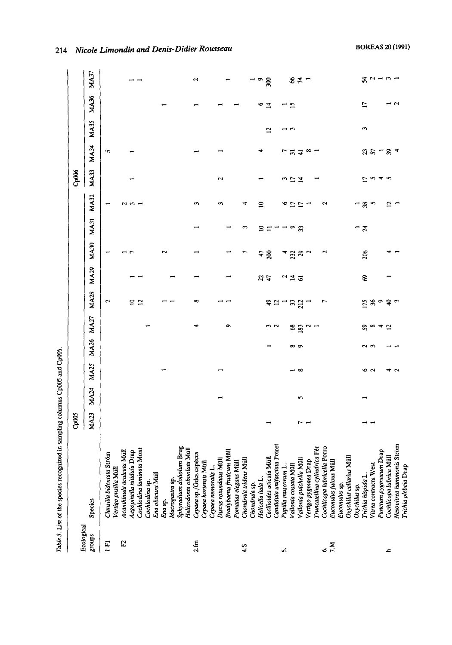|                      | Table 3. List of the species recognized in sampling columns Cp005 and Cp006 |             |             |             |      |               |                |               |                         |                  |                |                         |                 |                |                 |        |
|----------------------|-----------------------------------------------------------------------------|-------------|-------------|-------------|------|---------------|----------------|---------------|-------------------------|------------------|----------------|-------------------------|-----------------|----------------|-----------------|--------|
|                      |                                                                             | Cp005       |             |             |      |               |                |               |                         |                  |                | Cp006                   |                 |                |                 |        |
| Ecological<br>groups | <b>Species</b>                                                              | <b>MA23</b> | <b>MA24</b> | <b>MA25</b> | MA26 | MA27          | <b>MA28</b>    | <b>MA29</b>   | MA30                    | <b>MA31</b>      | <b>MA32</b>    | <b>MA33</b>             | <b>MA34</b>     | <b>MA35</b>    | <b>MA36</b>     | MA37   |
| $E_1$                | Strom<br>Clausilia bidentata                                                |             |             |             |      |               | 2              |               |                         |                  |                |                         | n               |                |                 |        |
|                      | Vertigo pusilla Mül                                                         |             |             |             |      |               |                |               |                         |                  |                |                         |                 |                |                 |        |
| E                    | Acanthinula aculeata Müll                                                   |             |             |             |      |               |                |               | –<br>1                  |                  | 2              |                         |                 |                |                 |        |
|                      | Aegopinella nitidula Drap                                                   |             |             |             |      |               |                |               |                         |                  |                |                         |                 |                |                 |        |
|                      | Cochlodina laminata Mont                                                    |             |             |             |      |               |                |               |                         |                  |                |                         |                 |                |                 |        |
|                      | Cochlodina sp.                                                              |             |             |             |      |               |                |               |                         |                  |                |                         |                 |                |                 |        |
|                      | Ena obscura Müll                                                            |             |             |             |      |               |                |               |                         |                  |                |                         |                 |                |                 |        |
|                      | Era sp.                                                                     |             |             |             |      |               |                |               | $\overline{\mathbf{c}}$ |                  |                |                         |                 |                |                 |        |
|                      | Macrogastra sp.                                                             |             |             |             |      |               |                |               |                         |                  |                |                         |                 |                |                 |        |
|                      | Sphyradium doliolum Brug                                                    |             |             |             |      |               |                |               |                         |                  |                |                         |                 |                |                 |        |
|                      | Helicodonta obvoluta Müll                                                   |             |             |             |      |               |                |               |                         |                  |                |                         |                 |                |                 |        |
| 2.fm                 | Cepaea sp./Gdes espèces                                                     |             |             |             |      |               | $\infty$       |               |                         |                  | ా              |                         |                 |                |                 | S      |
|                      | Cepaea hortensis Müll                                                       |             |             |             |      |               |                |               |                         |                  |                |                         |                 |                |                 |        |
|                      | Cepaea nemoralis L.                                                         |             |             |             |      |               |                |               |                         |                  |                |                         |                 |                |                 |        |
|                      | Discus rotundatus Müll                                                      |             |             |             |      |               |                |               |                         |                  | 3              | $\overline{\mathbf{c}}$ |                 |                |                 |        |
|                      |                                                                             |             |             |             |      |               |                |               |                         |                  |                |                         |                 |                |                 |        |
|                      | Bradybaena fruticum Müll                                                    |             |             |             |      | σ             |                |               |                         |                  |                |                         |                 |                |                 |        |
|                      | Pomatias elegans Müll                                                       |             |             |             |      |               |                |               |                         |                  |                |                         |                 |                |                 |        |
| 4.5                  | Chondrula tridens Müll                                                      |             |             |             |      |               |                |               | r                       | ᠊ᠬ               | ᅿ              |                         |                 |                |                 |        |
|                      | Chondrula sp.                                                               |             |             |             |      |               |                |               |                         |                  |                |                         |                 |                |                 |        |
|                      | Helicella itala L.                                                          |             |             |             |      |               |                |               | 47                      | ≘                | $\mathbf{r}$   |                         |                 |                |                 | o      |
|                      | Cecilioides acicula Müll                                                    |             |             |             |      |               | ę,             | $\frac{2}{3}$ | $\mathbf{g}$            | ≔                |                |                         |                 | $\overline{1}$ | $\overline{1}$  | g      |
|                      | Candidula unifasciata Poiret                                                |             |             |             |      | w u           | $\mathfrak{a}$ |               |                         |                  |                |                         |                 |                |                 |        |
| n                    | ì.<br>Pupilla muscorum I                                                    |             |             |             |      |               |                |               |                         |                  | ∘              |                         |                 |                |                 |        |
|                      | 景<br>Vallonia costata Mi                                                    |             |             |             |      |               |                | 745           | ್ದ ಇ                    |                  | ₽              | ここは                     | いごさ             | $\frac{1}{3}$  | <u>ي:</u>       |        |
|                      | Vallonia pulchella Müll                                                     | 1           | S           | – ∞         | ထက   | <b>82</b>     | 32             |               |                         | ం జ              | $\overline{1}$ |                         |                 |                |                 | $84 -$ |
|                      | Vertigo pygmaea Drap                                                        |             |             |             |      |               |                |               | $\sim$                  |                  |                |                         | $\infty$ $\sim$ |                |                 |        |
|                      | Truncatellina cylindrica Fér                                                |             |             |             |      |               |                |               |                         |                  |                |                         |                 |                |                 |        |
|                      | Cochlicopa lubricella Porro                                                 |             |             |             |      |               |                |               | 5                       |                  | $\sim$         |                         |                 |                |                 |        |
| $\frac{1}{2}$        | Euconulus futous Müll                                                       |             |             |             |      |               |                |               |                         |                  |                |                         |                 |                |                 |        |
|                      | Euconulus sp.                                                               |             |             |             |      |               |                |               |                         |                  |                |                         |                 |                |                 |        |
|                      | Mull<br>Oxychilus cellarius                                                 |             |             |             |      |               |                |               |                         |                  |                |                         |                 |                |                 |        |
|                      | Oxychilus sp.                                                               |             |             |             |      |               |                |               |                         | −                |                |                         |                 |                |                 |        |
|                      | Trichia hispida L.                                                          |             |             |             |      |               | 175            | S             | 206                     | $\boldsymbol{z}$ |                | 17                      |                 | ε              | $\overline{17}$ |        |
|                      | Vitrea contracta West                                                       |             |             | ن م         |      | $x \approx 4$ | $\frac{8}{9}$  |               |                         |                  | $38^{\circ}$   |                         |                 |                |                 |        |
|                      | Punctum pygmaeum Drap                                                       |             |             |             |      |               |                |               |                         |                  |                |                         |                 |                |                 |        |
| £,                   | Cochlicopa lubrica Müll                                                     |             |             | ෑ           |      |               | $\epsilon$     |               |                         |                  | 5              | いすい                     | $35 - 8$        |                |                 | おっしょし  |
|                      | Nesovitrea hammonis Ström                                                   |             |             | $\sim$      |      |               |                |               |                         |                  |                |                         | A               |                | $\sim$          |        |
|                      | Trichia plebeia Drap                                                        |             |             |             |      |               |                |               |                         |                  |                |                         |                 |                |                 |        |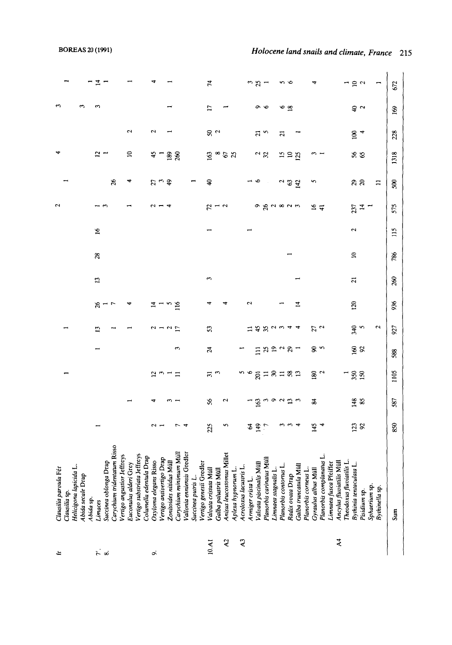| ÷              | Clausilia parvula Féi                              |                 |              |                               |                |                |         |                |                  |             | 2                   |                                            | ₩                            |               | 3    |                       |
|----------------|----------------------------------------------------|-----------------|--------------|-------------------------------|----------------|----------------|---------|----------------|------------------|-------------|---------------------|--------------------------------------------|------------------------------|---------------|------|-----------------------|
|                | Clausilia sp.                                      |                 |              |                               |                |                |         |                |                  |             |                     |                                            |                              |               |      |                       |
|                | Helicigona lapicida                                |                 |              |                               |                |                |         |                |                  |             |                     |                                            |                              |               |      |                       |
|                | Abida secale Drap                                  |                 |              |                               |                |                |         |                |                  |             |                     |                                            |                              |               |      |                       |
|                | Abida sp.                                          |                 |              |                               |                |                |         |                |                  |             |                     |                                            |                              |               |      |                       |
|                | Limaces                                            |                 |              |                               |                | 13             |         | 13             | $\boldsymbol{3}$ | $\tilde{q}$ |                     |                                            | 5                            |               |      |                       |
| .<br>م خ       | Succinea oblonga Drap                              |                 |              |                               |                |                | $x - 5$ |                |                  |             |                     |                                            |                              |               |      |                       |
|                | Carychium tridentatum Risso                        |                 |              |                               |                |                |         |                |                  |             |                     | $\mathfrak{K}% _{0}$                       |                              |               |      |                       |
|                | Vertigo angustior Jeffreys                         |                 |              |                               |                |                |         |                |                  |             |                     |                                            |                              |               |      |                       |
|                | rey<br>Euconulus alderi G                          |                 |              |                               |                |                |         |                |                  |             |                     |                                            | $\Xi$                        | Ν             |      |                       |
|                | Vertigo substriata Jeffreys                        |                 |              |                               |                |                |         |                |                  |             |                     |                                            |                              |               |      |                       |
|                | Drap<br>Columella edentula                         |                 |              |                               |                |                |         |                |                  |             |                     |                                            |                              |               |      |                       |
| ö              | isso<br>Oxyloma elegans R                          |                 |              | ر ب                           |                |                |         |                |                  |             |                     |                                            | 45                           | 2             |      |                       |
|                | Drap<br>Vertigo antivertigo                        |                 |              |                               |                |                |         |                |                  |             |                     | 59                                         |                              |               |      |                       |
|                | Zonitoides nitidus Müll                            |                 |              |                               |                |                | n       |                |                  |             |                     |                                            | $\frac{189}{260}$            |               |      |                       |
|                | $m$ Müll<br>Carychium minimu                       |                 |              | Ξ                             | S              | E              | 116     |                |                  |             |                     |                                            |                              |               |      |                       |
|                | Gredler<br>Vallonia enniensis (                    |                 |              |                               |                |                |         |                |                  |             |                     |                                            |                              |               |      |                       |
|                | Succinea putris L.                                 |                 |              |                               |                |                |         |                |                  |             |                     |                                            |                              |               |      |                       |
|                | Vertigo genesii Gredler                            |                 |              |                               |                |                |         |                |                  |             |                     |                                            |                              |               |      |                       |
| 10.AI          | Valvata cristata Müll                              | 225             | \$6          | $\overline{a}$ $\overline{a}$ | $\overline{a}$ | 53             |         | 3              |                  |             |                     | $\hat{r}$                                  | 63                           | $50^{\circ}$  | Ξ    | 74                    |
|                | Galba palustris Müll                               |                 |              |                               |                |                |         |                |                  |             | $R - q$             |                                            | $\infty$ $\approx$ $\approx$ |               |      |                       |
| $\mathbf{A}^2$ | Millet<br>Anisus leucostomus                       | n               | N            |                               |                |                |         |                |                  |             |                     |                                            |                              |               |      |                       |
|                | Aplexa hypnorum I                                  |                 |              |                               |                |                |         |                |                  |             |                     |                                            |                              |               |      |                       |
| $\mathbf{r}$   | Acroloxus lacustris L.                             |                 |              |                               |                |                |         |                |                  |             |                     |                                            |                              |               |      |                       |
|                | Armiger crista L.                                  | 2               |              |                               |                | ≍              | 2       |                |                  |             |                     |                                            |                              |               |      | $\tilde{\phantom{a}}$ |
|                | Valvata piscinalis Müll                            | 149             | $\mathbf{S}$ |                               | $\Xi$          | 45             |         |                |                  |             |                     | P                                          | $\frac{2}{3}$                | $\frac{5}{2}$ | െ ഗ  | 25                    |
|                | $\overline{\mathbf{z}}$<br>Planorbis carinatus     |                 | $\sim$       | 98778782                      | 29             |                |         |                |                  |             | o gu ou w           |                                            |                              |               |      |                       |
|                | Limnaea stagnalis 1                                |                 | റ്റ് ഇന      |                               |                |                |         |                |                  |             |                     |                                            |                              |               |      |                       |
|                | Planorbis contortus                                |                 |              |                               | $\sim$         |                |         |                |                  |             |                     | $\begin{array}{c} 2 \\ 3 \\ 4 \end{array}$ | 51                           | ដ             | ဖော့ | ຕ⊂                    |
|                | Radix ovata Drap                                   |                 |              |                               | $R -$          |                |         |                |                  |             |                     |                                            | ₽                            |               |      |                       |
|                | Galba truncatula Müll                              |                 |              |                               |                | 4              | 4       |                |                  |             |                     |                                            | 25                           |               |      |                       |
|                | Planorbis corneus!                                 |                 |              |                               |                |                |         |                |                  |             |                     |                                            |                              |               |      |                       |
|                | Gyraulus albus Müll                                | 145             | 35           | $\frac{180}{2}$               | $8^{\circ}$    | $\frac{2}{2}$  |         |                |                  |             | $\approx$ $\approx$ | 5                                          | $\sim$                       |               |      |                       |
|                | Planorbis complanatus L                            |                 |              |                               |                |                |         |                |                  |             |                     |                                            |                              |               |      |                       |
| $\overline{4}$ | Limnaea fusca Pfeiffer<br>Ancylus fluviatilis Müll |                 |              |                               |                |                |         |                |                  |             |                     |                                            |                              |               |      |                       |
|                | 5<br>Theodoxus fluviati                            |                 |              |                               |                |                |         |                |                  |             |                     |                                            |                              |               |      |                       |
|                | Bythinia tentaculata L                             |                 |              |                               |                | 340            | 120     | $\overline{z}$ | ្គ               | 2           |                     |                                            |                              | $\mathbf{8}$  |      |                       |
|                | Pisidium sp                                        | $\frac{23}{92}$ | 148<br>85    | $\frac{350}{150}$             | 88             | S              |         |                |                  |             | $\frac{57}{14}$     | ನಿ ನಿ                                      | 58<br>98                     | 4             | ಕಿ ಎ | $\frac{1}{2}$         |
|                | Sphaerium sp.                                      |                 |              |                               |                |                |         |                |                  |             |                     |                                            |                              |               |      |                       |
|                | Bythinella sp.                                     |                 |              |                               |                | $\mathfrak{a}$ |         |                |                  |             |                     | $\Xi$                                      |                              |               |      |                       |
|                | Sum                                                | 850             | 587          | 1105                          | 588            | 927            | 936     | 260            | 786              | 115         | 575                 | SO                                         | 1318                         | 228           | 169  | 672                   |
|                |                                                    |                 |              |                               |                |                |         |                |                  |             |                     |                                            |                              |               |      |                       |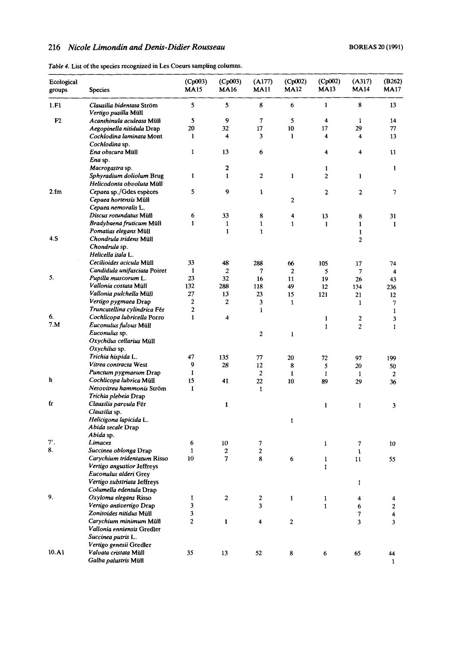## *Nicole Limondin and Denb-Didier Rousseau* **BOREAS** 20 (1991)

|  |  | Table 4. List of the species recognized in Les Coeurs sampling columns. |
|--|--|-------------------------------------------------------------------------|
|  |  |                                                                         |

| Ecological<br>groups | <b>Species</b>                                           | (Cp003)<br><b>MA15</b> | (Cp003)<br><b>MA16</b> | (A177)<br><b>MA11</b> | (Cp002)<br><b>MA12</b> | (Cp002)<br><b>MA13</b> | (A317)<br><b>MA14</b> | (B262)<br><b>MA17</b>   |
|----------------------|----------------------------------------------------------|------------------------|------------------------|-----------------------|------------------------|------------------------|-----------------------|-------------------------|
| 1.F1                 | Clausilia bidentata Ström<br><i>Vertigo pusilla</i> Müll | 5                      | 5                      | 8                     | 6                      | $\mathbf{1}$           | 8                     | 13                      |
| F <sub>2</sub>       | Acanthinula aculeata Müll                                | 5                      | 9                      | $\mathcal{I}$         | 5                      | 4                      | $\mathbf{I}$          | 14                      |
|                      | Aegopinella nitidula Drap                                | 20                     | 32                     | 17                    | 10                     | 17                     | 29                    | 77                      |
|                      | Cochlodina laminata Mont                                 | $\mathbf{1}$           | 4                      | 3                     | 1                      | 4                      | 4                     | 13                      |
|                      | Cochlodina sp.                                           |                        |                        |                       |                        |                        |                       |                         |
|                      | Ena obscura Müll                                         | $\mathbf{1}$           | 13                     | 6                     |                        | 4                      | 4                     | $\mathbf{11}$           |
|                      | Ena sp.                                                  |                        |                        |                       |                        |                        |                       |                         |
|                      | Macrogastra sp.                                          |                        | $\mathbf 2$            |                       |                        | 1                      |                       | 1                       |
|                      | Sphyradium doliolum Brug                                 | $\mathbf{1}$           | $\mathbf{1}$           | $\overline{2}$        | 1                      | 2                      | $\mathbf{1}$          |                         |
|                      | Helicodonta obvoluta Müll                                |                        |                        |                       |                        |                        |                       |                         |
| 2.fm                 | Cepaea sp./Gdes espèces                                  | 5                      | 9                      | 1                     |                        | 2                      | $\mathbf{2}$          | 7                       |
|                      | Cepaea hortensis Müll                                    |                        |                        |                       | 2                      |                        |                       |                         |
|                      | Cepaea nemoralis L.                                      |                        |                        |                       |                        |                        |                       |                         |
|                      | Discus rotundatus Müll                                   | 6                      | 33                     | 8                     | 4                      | 13                     | 8                     | 31                      |
|                      | <i>Bradybaena fruticum Müll</i>                          | $\mathbf{1}$           | $\mathbf{1}$           | $\mathbf{1}$          | $\mathbf{1}$           | $\mathbf{1}$           | $\mathbf{1}$          | $\mathbf{1}$            |
|                      | Pomatias elegans Müll                                    |                        | $\mathbf{1}$           | $\mathbf{1}$          |                        |                        | $\mathbf{1}$          |                         |
| 4.S                  | Chondrula tridens Müll                                   |                        |                        |                       |                        |                        | $\overline{2}$        |                         |
|                      | Chondrula sp.                                            |                        |                        |                       |                        |                        |                       |                         |
|                      | Helicella itala L.                                       |                        |                        |                       |                        |                        |                       |                         |
|                      | Cecilioides acicula Müll                                 | 33                     | 48                     | 288                   | 66                     | 105                    | 17                    | 74                      |
|                      | Candidula unifasciata Poiret                             | $\mathbf{1}$           | $\boldsymbol{2}$       | 7                     | $\overline{2}$         | 5                      | 7                     | 4                       |
| 5.                   | Pupilla muscorum L.                                      | 23                     | 32                     | 16                    | 11                     | 19                     | 26                    | 43                      |
|                      | Vallonia costata Müll                                    | 132                    | 288                    | 118                   | 49                     | 12                     | 134                   | 236                     |
|                      | Vallonia pulchella Müll                                  | 27                     | 13                     | 23                    | 15                     | 121                    | 21                    | 12                      |
|                      | Vertigo pygmaea Drap                                     | $\mathbf{2}$           | $\overline{c}$         | 3                     | $\mathbf{1}$           |                        | $\mathbf{1}$          | 7                       |
|                      | Truncatellina cylindrica Fér                             | $\mathbf{2}$           |                        | 1                     |                        |                        |                       | $\mathbf{1}$            |
| 6.                   | Cochlicopa lubricella Porro                              | $\mathbf{1}$           | 4                      |                       |                        | 1                      | $\mathbf{2}$          | 3                       |
| 7.M                  | Euconulus fulous Müll                                    |                        |                        |                       |                        | $\mathbf{1}$           | $\overline{c}$        | $\mathbf{1}$            |
|                      | Euconulus sp.                                            |                        |                        | $\boldsymbol{2}$      | $\mathbf{1}$           |                        |                       |                         |
|                      | Oxychilus cellarius Müll                                 |                        |                        |                       |                        |                        |                       |                         |
|                      | Oxychilus sp.                                            |                        |                        |                       |                        |                        |                       |                         |
|                      | Trichia hispida L.                                       | 47                     | 135                    | 77                    | 20                     | 72                     | 97                    | 199                     |
|                      | Vitrea contracta West                                    | 9                      | 28                     | 12                    | 8                      | 5                      | 20                    | 50                      |
|                      | Punctum pygmaeum Drap                                    | 1                      |                        | $\overline{c}$        | $\mathbf{1}$           | $\mathbf{1}$           | $\mathbf{1}$          | $\boldsymbol{2}$        |
| h                    | Cochlicopa lubrica Müll                                  | 15                     | 41                     | 22                    | 10                     | 89                     | 29                    | 36                      |
|                      | Nesovitrea hammonis Ström                                | $\mathbf{1}$           |                        | 1                     |                        |                        |                       |                         |
|                      | Trichia plebeia Drap                                     |                        |                        |                       |                        |                        |                       |                         |
| fr                   | Clausilia parvula Fér                                    |                        | 1                      |                       |                        | 1                      | 1                     | 3                       |
|                      | Clausilia sp.                                            |                        |                        |                       |                        |                        |                       |                         |
|                      | Helicigona lapicida L.                                   |                        |                        |                       | 1                      |                        |                       |                         |
|                      | Abida secale Drap                                        |                        |                        |                       |                        |                        |                       |                         |
|                      | Abida sp.                                                |                        |                        |                       |                        |                        |                       |                         |
| $7^{\prime}$ .<br>8. | Limaces                                                  | 6                      | 10                     | $\boldsymbol{7}$      |                        | 1                      | 7                     | 10                      |
|                      | Succinea oblonga Drap                                    | 1                      | 2                      | $\boldsymbol{2}$      |                        |                        | 1                     |                         |
|                      | Carychium tridentatum Risso                              | 10                     | 7                      | 8                     | 6                      | 1                      | 11                    | 55                      |
|                      | Vertigo angustior Jeffreys                               |                        |                        |                       |                        | $\mathbf{1}$           |                       |                         |
|                      | Euconulus alderi Grey                                    |                        |                        |                       |                        |                        |                       |                         |
|                      | Vertigo substriata Jeffreys<br>Columella edentula Drap   |                        |                        |                       |                        |                        | $\mathbf{1}$          |                         |
| 9.                   |                                                          |                        |                        |                       |                        |                        |                       |                         |
|                      | Oxyloma elegans Risso<br>Vertigo antivertigo Drap        | 1<br>3                 | $\boldsymbol{2}$       | $\boldsymbol{2}$<br>3 | $\mathbf{1}$           | $\mathbf{1}$           | 4                     | 4                       |
|                      |                                                          | 3                      |                        |                       |                        | $\mathbf{1}$           | 6                     | $\boldsymbol{2}$        |
|                      | Zonitoides nitidus Müll<br>Carychium minimum Müll        | 2                      |                        |                       |                        |                        | 7                     | $\overline{\mathbf{4}}$ |
|                      | Vallonia enniensis Gredler                               |                        | $\mathbf{1}$           | 4                     | 2                      |                        | 3                     | 3                       |
|                      | Succinea putris L.                                       |                        |                        |                       |                        |                        |                       |                         |
|                      | Vertigo genesii Gredler                                  |                        |                        |                       |                        |                        |                       |                         |
| 10.A1                | Valvata cristata Müll                                    | 35                     | 13                     | 52                    | ${\bf 8}$              | 6                      | 65                    |                         |
|                      | Galba palustris Müll                                     |                        |                        |                       |                        |                        |                       | 44                      |
|                      |                                                          |                        |                        |                       |                        |                        |                       | 1                       |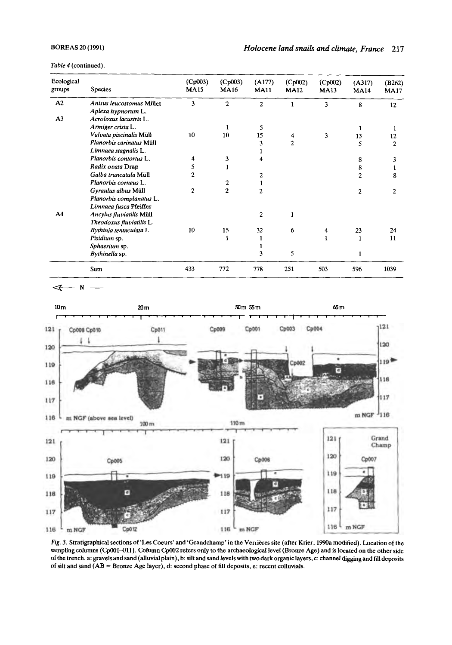*Table 4* (continued).

| Ecological<br>groups | <b>Species</b>            | (Cp003)<br><b>MA15</b> | (Cp003)<br><b>MA16</b> | (A177)<br><b>MA11</b> | (Cp002)<br><b>MA12</b> | (Cp002)<br><b>MA13</b> | (A317)<br><b>MA14</b> | (B262)<br><b>MA17</b> |
|----------------------|---------------------------|------------------------|------------------------|-----------------------|------------------------|------------------------|-----------------------|-----------------------|
| A2                   | Anisus leucostomus Millet | 3                      | $\mathbf{2}$           | $\overline{c}$        | 1                      | 3                      | 8                     | 12                    |
|                      | Aplexa hypnorum L.        |                        |                        |                       |                        |                        |                       |                       |
| A <sub>3</sub>       | Acroloxus lacustris L.    |                        |                        |                       |                        |                        |                       |                       |
|                      | Armiger crista L.         |                        | $\mathbf{1}$           | 5                     |                        |                        | 1                     | 1                     |
|                      | Valvata piscinalis Müll   | 10                     | 10                     | 15                    | 4                      | 3                      | 13                    | 12                    |
|                      | Planorbis carinatus Müll  |                        |                        | 3                     | $\overline{2}$         |                        | 5                     | 2                     |
|                      | Limnaea stagnalis L.      |                        |                        |                       |                        |                        |                       |                       |
|                      | Planorbis contortus L.    | 4                      | 3                      | 4                     |                        |                        | 8                     | 3                     |
|                      | Radix ovata Drap          | 5                      |                        |                       |                        |                        | 8                     | 1                     |
|                      | Galba truncatula Müll     | $\overline{a}$         |                        | $\overline{c}$        |                        |                        | $\overline{2}$        | 8                     |
|                      | Planorbis corneus L.      |                        | $\overline{c}$         | 1                     |                        |                        |                       |                       |
|                      | Gyraulus albus Müll       | $\overline{c}$         | $\mathbf{2}$           | $\overline{2}$        |                        |                        | $\overline{2}$        | $\overline{2}$        |
|                      | Planorbis complanatus L.  |                        |                        |                       |                        |                        |                       |                       |
|                      | Limnaea fusca Pfeiffer    |                        |                        |                       |                        |                        |                       |                       |
| A <sub>4</sub>       | Ancylus fluviatilis Müll  |                        |                        | $\overline{c}$        | $\mathbf{1}$           |                        |                       |                       |
|                      | Theodoxus fluviatilis L.  |                        |                        |                       |                        |                        |                       |                       |
|                      | Bythinia tentaculata L.   | 10                     | 15                     | 32                    | 6                      | 4                      | 23                    | 24                    |
|                      | Pisidium sp.              |                        | 1                      | 1                     |                        | $\mathbf{1}$           | 1                     | 11                    |
|                      | Sphaerium sp.             |                        |                        | 1                     |                        |                        |                       |                       |
|                      | Bythinella sp.            |                        |                        | 3                     | 5                      |                        | 1                     |                       |
|                      | Sum                       | 433                    | 772                    | 778                   | 251                    | 503                    | 596                   | 1039                  |



*Fig.* 3. Stratigraphical sections of **'Les Coeurs'** and 'Grandchamp' in the Verrieres site (after Krier, **1990a** modified). Location of the sampling columns **(CpOo1-011).** Column **CpOo2** refers only to the archaeological level (Bronze **Age)** and is located **on** the other side of the trench. a: gravels and sand (alluvial plain), b: silt and sand levels with two dark organic layers, c: channel digging and fill deposits of silt and sand (AB = Bronze **Age** layer), d: second phase of **fill** deposits, e: recent colluvials.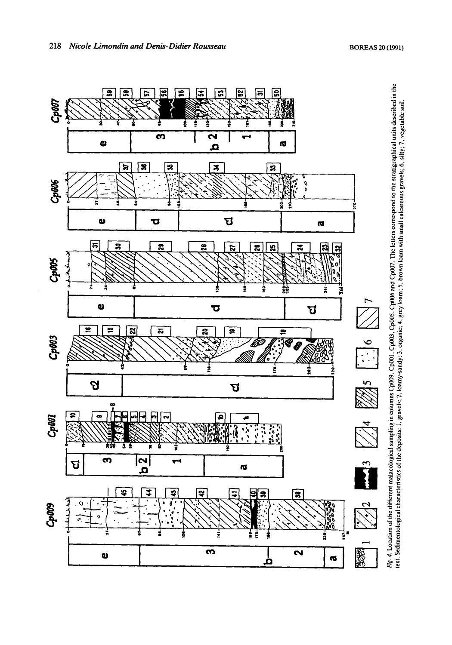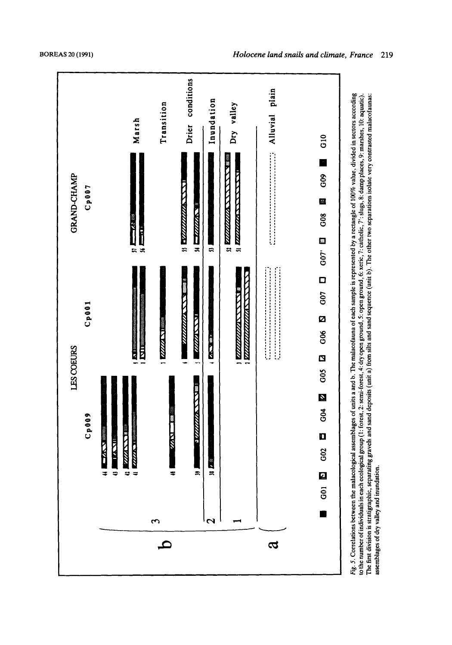



assemblages of dry valley and inundation.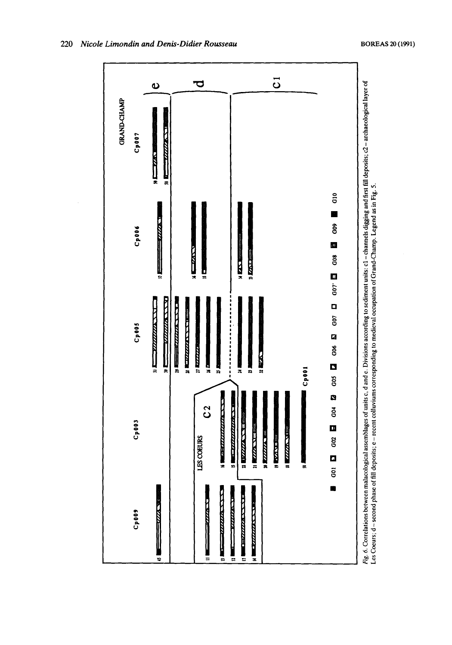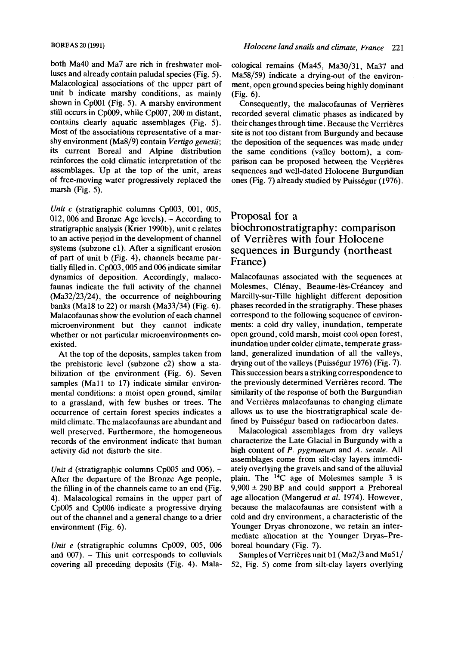both Ma40 and Ma7 are rich in freshwater molluscs and already contain paludal species (Fig. 5). Malacological associations of the upper part of unit b indicate marshy conditions, as mainly shown in CpOOl (Fig. 5). A marshy environment still occurs in CpOO9, while CpOO7,200 m distant, contains clearly aquatic assemblages (Fig. 5). Most of the associations representative of a marshy environment (Ma8/9) contain *Vertigo genesii;*  its current Boreal and Alpine distribution reinforces the cold climatic interpretation of the assemblages. Up at the top of the unit, areas of free-moving water progressively replaced the marsh (Fig. 5).

*Unit c* (stratigraphic columns Cp003, 001, 005, 012, 006 and Bronze Age levels). - According to stratigraphic analysis (Krier 1990b), unit c relates to an active period in the development of channel systems (subzone c1). After a significant erosion of part of unit b (Fig. 4), channels became partially filled in. Cp003, 005 and 006 indicate similar dynamics of deposition. Accordingly, malacofaunas indicate the full activity of the channel (Ma32/23/24), the occurrence of neighbouring banks (Ma18 to 22) or marsh (Ma33/34) (Fig. 6). Malacofaunas show the evolution of each channel microenvironment but they cannot indicate whether or not particular microenvironments coexisted.

At the top of the deposits, samples taken from the prehistoric level (subzone c2) show a stabilization of the environment (Fig. **6).** Seven samples (Mall to 17) indicate similar environmental conditions: a moist open ground, similar to a grassland, with few bushes or trees. The occurrence of certain forest species indicates a mild climate. The malacofaunas are abundant and well preserved. Furthermore, the homogeneous records of the environment indicate that human activity did not disturb the site.

*Unit d* (stratigraphic columns Cp005 and 006). -After the departure of the Bronze Age people, the filling in of the channels came to an end (Fig. 4). Malacological remains in the upper part of CpOO5 and Cp006 indicate a progressive drying out of the channel and a general change to a drier environment (Fig. 6).

*Unit e* (stratigraphic columns Cp009, 005, 006 and  $007$ ).  $-$  This unit corresponds to colluvials covering all preceding deposits (Fig. 4). Malacological remains (Ma45, Ma30/31, Ma37 and Ma58/59) indicate a drying-out of the environment, open ground species being highly dominant (Fig. 6).

Consequently, the malacofaunas of Verrières recorded several climatic phases as indicated by their changes through time. Because the Verrières site is not **too** distant from Burgundy and because the deposition of the sequences was made under the same conditions (valley bottom), a comparison can be proposed between the Verrières sequences and well-dated Holocene Burgundian ones (Fig. 7) already studied by Puisségur  $(1976)$ .

# Proposal for a biochronostratigraphy: comparison of Verrieres with four Holocene sequences in Burgundy (northeast France)

Malacofaunas associated with the sequences at Molesmes, Clénay, Beaume-lès-Créancey and Marcilly-sur-Tille highlight different deposition phases recorded in the stratigraphy. These phases correspond to the following sequence of environments: a cold dry valley, inundation, temperate open ground, cold marsh, moist cool open forest, inundation under colder climate, temperate grassland, generalized inundation of all the valleys, drying out of the valleys (Puissegur 1976) (Fig. 7). This succession bears a striking correspondence to the previously determined Verrières record. The similarity of the response of both the Burgundian and Verrières malacofaunas to changing climate allows us to use the biostratigraphical scale defined by Puissegur based on radiocarbon dates.

Malacological assemblages from dry valleys characterize the Late Glacial in Burgundy with a high content of *P. pygmaeum* and *A. secale.* All assemblages come from silt-clay layers immediately overlying the gravels and sand of the alluvial plain. The  $^{14}C$  age of Molesmes sample 3 is 9,900 *2* 290 BP and could support a Preboreal age allocation (Mangerud *et* al. 1974). However, because the malacofaunas are consistent with a cold and dry environment, a characteristic of the Younger Dryas chronozone, we retain an intermediate allocation at the Younger Dryas-Preboreal boundary (Fig. 7).

Samples of Verrières unit b1 (Ma2/3 and Ma51/ 52, Fig. 5) come from silt-clay layers overlying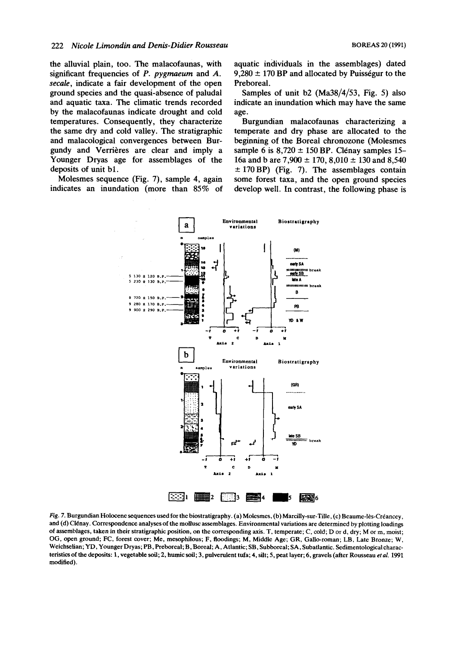the alluvial plain, too. The malacofaunas, with significant frequencies of P. *pygmaeum* and *A. secale,* indicate a fair development of the open ground species and the quasi-absence of paludal and aquatic taxa. The climatic trends recorded by the malacofaunas indicate drought and cold temperatures. Consequently, they characterize the same dry and cold valley. The stratigraphic and malacological convergences between Bur- beginning of the Boreal chronozone (Molesmes gundy and Verrières are clear and imply a sample 6 is  $8,720 \pm 150$  BP. Clénay samples 15-Younger Dryas age for assemblages of the 16a and b are 7,900  $\pm$  170, 8,010  $\pm$  130 and 8,540 deposits of unit bl. *5* 170BP) (Fig. 7). The assemblages contain

aquatic individuals in the assemblages) dated  $9,280 \pm 170$  BP and allocated by Puisségur to the Preboreal.

Samples of unit b2 (Ma38/4/53, Fig. 5) also indicate an inundation which may have the same age.

Burgundian malacofaunas characterizing a temperate and dry phase are allocated to the 16a and b are  $7,900 \pm 170,8,010 \pm 130$  and 8,540 Molesmes sequence (Fig. 7), sample 4, again some forest taxa, and the open ground species indicates an inundation (more than 85% of develop well. In contrast, the following phase is



*Fig.* 7. Burgundian Holocene sequences used for the biostratigraphy. (a) Molesmes, (b) Marcilly-sur-Tille, (c) Beaume-les-Créancey, and (d) Clénay. Correspondence analyses of the mollusc assemblages. Environmental variations are determined by plotting loadings *of* assemblages, taken in their stratigraphic position, **on** the corresponding axis. T, temperate; C, cold; D or d, dry; M or m, moist; OG, open ground; **FC,** forest cover; Me, mesophilous; F, floodings; M, Middle Age; GR, Gallo-roman; LB, Late Bronze; **W,**  Weichselian; YD, Younger Dryas; PB, Preboreal; B, Boreal; A, Atlantic; SB, Subboreal; SA, Subatlantic. Sedirnentological characteristics of the deposits: **1,** vegetable **mil;** 2, humic **soil;** 3, pulverulent tufa; **4,** silt; *5,* peat layer; 6, gravels (after Rousseau *eral.* 1991 modified).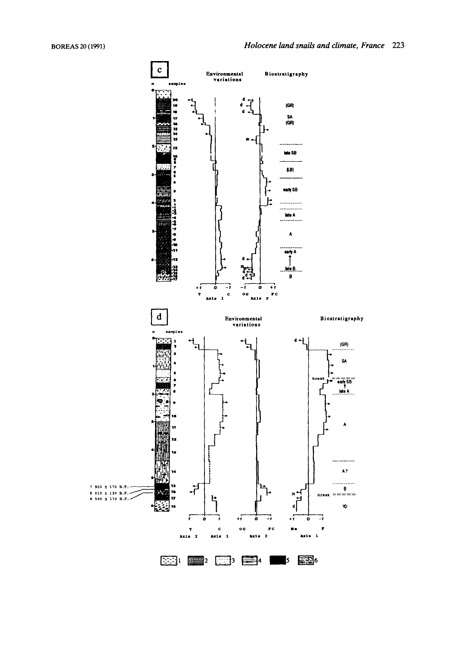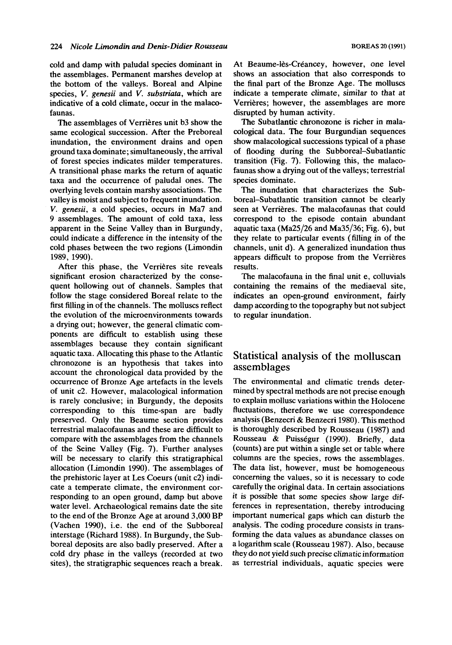cold and damp with paludal species dominant in the assemblages. Permanent marshes develop at the bottom of the valleys. Boreal and Alpine species, V. *genesii* and *V. substriata,* which are indicative of **a** cold climate, occur in the malacofaunas.

The assemblages of Verrières unit b3 show the same ecological succession. After the Preboreal inundation, the environment drains and open ground taxa dominate; simultaneously, the arrival of forest species indicates milder temperatures. A transitional phase marks the return of aquatic taxa and the occurrence of paludal ones. The overlying levels contain marshy associations. The valley is moist and subject to frequent inundation. V. *genesii,* a cold species, occurs in Ma7 and 9 assemblages. The amount of cold taxa, less apparent in the Seine Valley than in Burgundy, could indicate a difference in the intensity of the cold phases between the two regions (Limondin 1989, 1990).

After this phase, the Verrières site reveals significant erosion characterized by the consequent hollowing out of channels. Samples that follow the stage considered Boreal relate to the first filling in of the channels. The molluscs reflect the evolution of the microenvironments towards a drying out; however, the general climatic components are difficult to establish using these assemblages because they contain significant aquatic taxa. Allocating this phase to the Atlantic chronozone is an hypothesis that takes into account the chronological data provided by the occurrence of Bronze Age artefacts in the levels of unit c2. However, malacological information is rarely conclusive; in Burgundy, the deposits corresponding to this time-span are badly preserved. Only the Beaume section provides terrestrial malacofaunas and these are difficult to compare with the assemblages from the channels of the Seine Valley (Fig. 7). Further analyses will be necessary to clarify this stratigraphical allocation (Limondin 1990). The assemblages of the prehistoric layer at Les Coeurs (unit c2) indicate a temperate climate, the environment corresponding to an open ground, damp but above water level. Archaeological remains date the site to the end of the Bronze Age at around 3,000 BP (Vachen 1990), i.e. the end of the Subboreal interstage (Richard 1988). In Burgundy, the Subboreal deposits are also badly preserved. After a cold dry phase in the valleys (recorded at two sites), the stratigraphic sequences reach a break.

At Beaume-lès-Créancey, however, one level shows an association that also corresponds to the final part of the Bronze Age. The molluscs indicate a temperate climate, similar to that at Verrières; however, the assemblages are more disrupted by human activity.

The Subatlantic chronozone is richer in malacological data, The four Burgundian sequences show malacological successions typical of a phase of flooding during the Subboreal-Subatlantic transition (Fig. 7). Following this, the malacofaunas show a drying out of the valleys; terrestrial species dominate.

The inundation that characterizes the Subboreal-Subatlantic transition cannot be clearly seen at Verrières. The malacofaunas that could correspond to the episode contain abundant aquatic taxa (Ma25/26 and Ma35/36; Fig. 6), but they relate to particular events (filling in of the channels, unit d). A generalized inundation thus appears difficult to propose from the Verrières results.

The malacofauna in the final unit e, colluvials containing the remains of the mediaeval site, indicates an open-ground environment, fairly damp according to the topography but not subject to regular inundation.

# Statistical analysis of the molluscan assemblages

The environmental and climatic trends determined by spectral methods are not precise enough to explain mollusc variations within the Holocene fluctuations, therefore we use correspondence analysis (Benzecri & Benzecri 1980). This method is thoroughly described by Rousseau (1987) and Rousseau & Puisségur (1990). Briefly, data (counts) are put within a single set or table where columns are the species, rows the assemblages. The data list, however, must be homogeneous concerning the values, so it is necessary to code carefully the original data. In certain associations it is possible that some species show large differences in representation, thereby introducing important numerical gaps which can disturb the analysis. The coding procedure consists in transforming the data values as abundance classes on **a** logarithm scale (Rousseau 1987). Also, because they do not yield such precise climatic information as terrestrial individuals, aquatic species were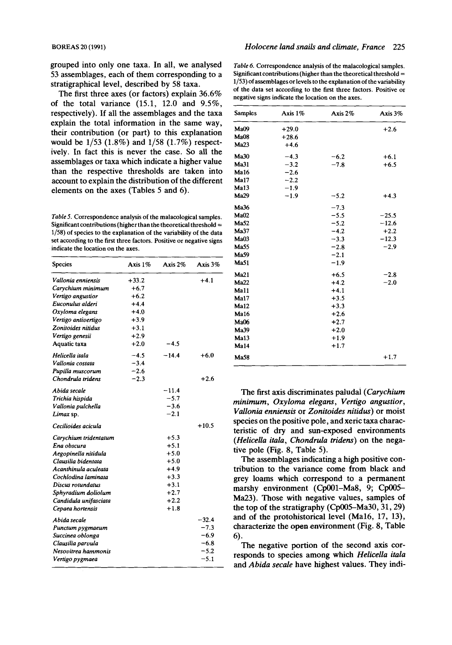grouped into only one taxa. In all, we analysed 53 assemblages, each of them corresponding to a stratigraphical level, described by 58 taxa.

The first three axes (or factors) explain 36.6% of the total variance (15.1, 12.0 and *9.5%,*  respectively). If all the assemblages and the taxa explain the total information in the same way, their contribution (or part) to this explanation would be 1/53 (1.8%) and 1/58 (1.7%) respectively. In fact this is never the case. So all the assemblages or taxa which indicate a higher value than the respective thresholds are taken into account to explain the distribution of the different elements on the axes (Tables 5 and 6).

*Table 5.* Correspondence analysis of the malacological samples. Significant contributions (higher than the theoretical threshold = 1/58) of species to the explanation of the variability of the data set according to the first three factors. Positive or negative signs indicate the location on the axes.

| Species               | Axis 1% | Axis 2% | Axis $3%$ |
|-----------------------|---------|---------|-----------|
| Vallonia enniensis    | $+33.2$ |         | $+4.1$    |
| Carychium minimum     | $+6.7$  |         |           |
| Vertigo angustior     | $+6.2$  |         |           |
| Euconulus alderi      | $+4.4$  |         |           |
| Oxyloma elegans       | $+4.0$  |         |           |
| Vertigo antivertigo   | $+3.9$  |         |           |
| Zonitoides nitidus    | $+3.1$  |         |           |
| Vertigo genesii       | $+2.9$  |         |           |
| Aquatic taxa          | $+2.0$  | $-4.5$  |           |
| Helicella itala       | $-4.5$  | $-14.4$ | $+6.0$    |
| Vallonia costata      | $-3.4$  |         |           |
| Pupilla muscorum      | $-2.6$  |         |           |
| Chondrula tridens     | $-2.3$  |         | $+2.6$    |
| Abida secale          |         | $-11.4$ |           |
| Trichia hispida       |         | $-5.7$  |           |
| Vallonia pulchella    |         | $-3.6$  |           |
| Limax sp.             |         | $-2.1$  |           |
| Cecilioides acicula   |         |         | $+10.5$   |
| Carychium tridentatum |         | $+5.3$  |           |
| Ena obscura           |         | $+5.1$  |           |
| Aegopinella nitidula  |         | $+5.0$  |           |
| Clausilia bidentata   |         | $+5.0$  |           |
| Acanthinula aculeata  |         | $+4.9$  |           |
| Cochlodina laminata   |         | $+3.3$  |           |
| Discus rotundatus     |         | $+3.1$  |           |
| Sphyradium doliolum   |         | $+2.7$  |           |
| Candidula unifasciata |         | $+2.2$  |           |
| Cepaea hortensis      |         | $+1.8$  |           |
| Abida secale          |         |         | $-32.4$   |
| Punctum pygmaeum      |         |         | $-7.3$    |
| Succinea oblonga      |         |         | $-6.9$    |
| Clausilia parvula     |         |         | $-6.8$    |
| Nesovitrea hammonis   |         |         | $-5.2$    |
| Vertigo pygmaea       |         |         | $-5.1$    |

*Table 6.* Correspondence analysis of the malacological samples. Significant contributions (higher than the theoretical threshold  $=$ 1/53) of assemhlagesor levels to the explanation of the variability of the data set according to the first three factors. Positive or negative signs indicate the location on the axes.

| <b>Samples</b>   | Axis 1% | Axis $2\%$ | Axis 3% |
|------------------|---------|------------|---------|
| Ma09             | $+29.0$ |            | $+2.6$  |
| MaO8             | $+28.6$ |            |         |
| Ma23             | $+4.6$  |            |         |
| Ma30             | $-4.3$  | $-6.2$     | $+6.1$  |
| Ma31             | $-3.2$  | $-7.8$     | $+6.5$  |
| Ma16             | $-2.6$  |            |         |
| Ma17             | $-2.2$  |            |         |
| Ma13             | $-1.9$  |            |         |
| <b>Ma29</b>      | $-1.9$  | $-5.2$     | $+4.3$  |
| Ma36             |         | $-7.3$     |         |
| MaO2             |         | $-5.5$     | $-25.5$ |
| <b>Ma52</b>      |         | $-5.2$     | $-12.6$ |
| Ma37             |         | $-4.2$     | $+2.2$  |
| Ma03             |         | $-3.3$     | $-12.3$ |
| Ma55             |         | $-2.8$     | $-2.9$  |
| Ma59             |         | $-2.1$     |         |
| <b>Ma51</b>      |         | $-1.9$     |         |
| Ma21             |         | $+6.5$     | $-2.8$  |
| Ma22             |         | $+4.2$     | $-2.0$  |
| Ma11             |         | $+4.1$     |         |
| Ma17             |         | $+3.5$     |         |
| Ma12             |         | $+3.3$     |         |
| Ma16             |         | $+2.6$     |         |
| <b>Ma06</b>      |         | $+2.7$     |         |
| Ma39             |         | $+2.0$     |         |
| Ma <sub>13</sub> |         | $+1.9$     |         |
| Ma14             |         | $+1.7$     |         |
| Ma58             |         |            | $+1.7$  |

The first axis discriminates paludal *(Carychium minimum, Oxyloma elegans, Vertigo angustior, Vallonia enniemis* or *Zonitoides nitidus)* or moist species on the positive pole, and xeric taxa characteristic of dry and sun-exposed environments *(Helicella itala, Chondrula tridem)* on the negative pole (Fig. 8, Table *5).* 

The assemblages indicating a high positive contribution to the variance come from black and grey loams which correspond to a permanent marshy environment (Cp001-Ma8, 9; Cp005-Ma23). Those with negative values, samples of the top of the stratigraphy (Cp005–Ma30, 31, 29) and of the protohistorical level (Ma16, 17, 13), characterize the **open** environment (Fig. 8, Table 6).

The negative portion of the second axis corresponds to species among which *Helicella itala*  and *Abida secale* have highest values. They indi-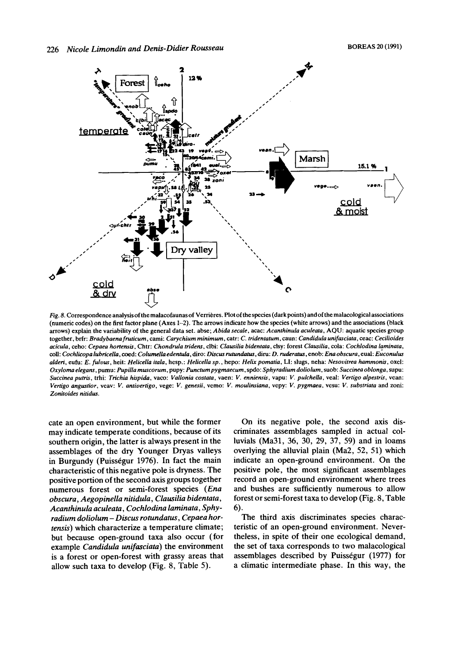

Fig. 8. Correspondence analysis of the malacofaunas of Verrières. Plot of the species (dark points) and of the malacological associations (numeric codes) on the first factor plane (Axes 1-2). The arrows indicate how the species (white arrows) and the associations (black arrows) explain the variability of the general data set. abse; Abida secale, acac: Acanthinula aculeata, AQU: aquatic species group together, brfr: Bradybaena fruticum, cami: Carychium minimum, catr: C. tridentatum, caun: Candidula unifasciata, ceac: Cecilioides acicula, ceho: Cepaea hortensis, Chtr: Chondrula tridens, clbi: Clausilia bidentata, clsy: forest Clausilia, cola: Cochlodina laminata, coll: Cochlicopa lubricella, coed: Columella edentula, diro: Discus rutundatus, diru: D. ruderatus, enob: Ena obscura, eval: Euconulus alderi, eufu: E. fulvus, heit: Helicella itala, hesp.: Helicella sp., hepo: Helix pomatia, LI: slugs, neha: Nesovitrea hammonis, oxel: Oxyloma elegans, pumu: Pupilla muscorum, pupy: Punctum pygmaecum, spdo: Sphyradium doliolum, suob: Succinea oblonga, supu: Succinea putris, trhi: Trichia hispida, vaco: Vallonia costata, vaen: V. enniensis, vapu: V. pulchella, veal: Vertigo alpestris, vean: Vertigo angustior, veav: V. antivertigo, vege: V. genesii, vemo: V. moulinsiana, vepy: V. pygmaea, vesu: V. substriata and zoni: Zonitoides nitidus.

cate an open environment, but while the former may indicate temperate conditions, because of its southern origin, the latter is always present in the assemblages of the dry Younger Dryas valleys in Burgundy (Puisségur 1976). In fact the main characteristic of this negative pole is dryness. The positive portion of the second axis groups together numerous forest or semi-forest species (Ena obscura, Aegopinella nitidula, Clausilia bidentata, Acanthinula aculeata, Cochlodina laminata, Sphyradium doliolum - Discus rotundatus, Cepaea hortensis) which characterize a temperature climate; but because open-ground taxa also occur (for example Candidula unifasciata) the environment is a forest or open-forest with grassy areas that allow such taxa to develop (Fig. 8, Table 5).

On its negative pole, the second axis discriminates assemblages sampled in actual colluvials (Ma31, 36, 30, 29, 37, 59) and in loams overlying the alluvial plain (Ma2, 52, 51) which indicate an open-ground environment. On the positive pole, the most significant assemblages record an open-ground environment where trees and bushes are sufficiently numerous to allow forest or semi-forest taxa to develop (Fig. 8, Table 6).

The third axis discriminates species characteristic of an open-ground environment. Nevertheless, in spite of their one ecological demand, the set of taxa corresponds to two malacological assemblages described by Puisségur (1977) for a climatic intermediate phase. In this way, the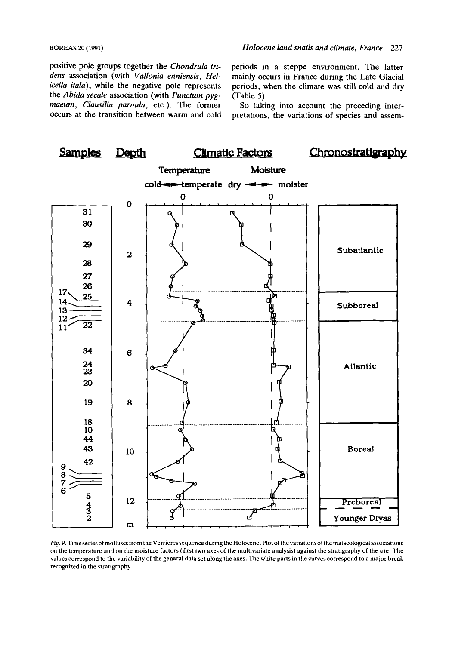positive pole groups together the *Chondrula tri-* periods in a steppe environment. The latter the *Abida secale* association (with *Punctum pyg-* (Table 5).<br> *maeum*, *Clausilia parvula*, etc.). The former So takin *maeum, Clausilia parvula,* etc.). The former So taking into account the preceding inter-<br>occurs at the transition between warm and cold pretations, the variations of species and assem-

dens association (with *Vallonia enniensis*, *Hel*- mainly occurs in France during the Late Glacial *icella itala*), while the negative pole represents periods, when the climate was still cold and drv periods, when the climate was still cold and dry

pretations, the variations of species and assem-



Fig. 9. Timeseries of molluscs from the Verrières sequence during the Holocene. Plot of the variations of the malacological associations on the temperature and on the moisture factors (first two axes of the multivariate analysis) against the stratigraphy of the site. The values correspond to the variability of the general data set along the axes. The white parts in the curves correspond to a major break recognized in the stratigraphy.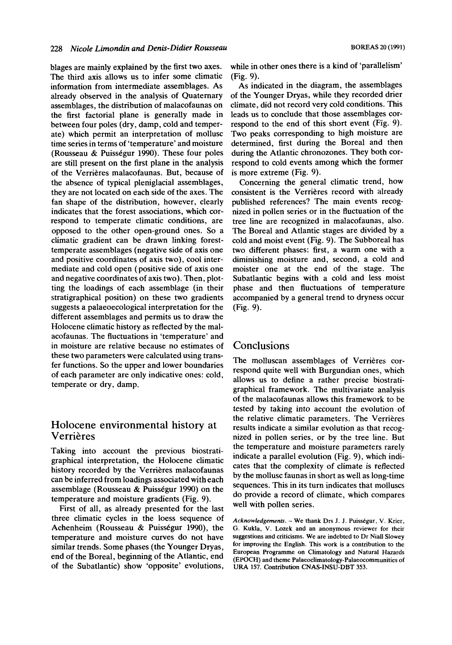blages are mainly explained by the first two axes. The third axis allows us to infer some climatic information from intermediate assemblages. AS already observed in the analysis of Quaternary assemblages, the distribution of malacofaunas on the first factorial plane is generally made in between four poles (dry, damp, cold and temperate) which permit an interpretation of mollusc time series in terms of 'temperature' and moisture (Rousseau & Puissegur 1990). These four poles are still present on the first plane in the analysis of the Verrieres malacofaunas. But, because of the absence of typical pleniglacial assemblages, they are not located on each side of the axes. The fan shape of the distribution, however, clearly indicates that the forest associations, which correspond to temperate climatic conditions, are opposed to the other open-ground ones. So a climatic gradient can be drawn linking foresttemperate assemblages (negative side of axis one and positive coordinates of axis two), cool intermediate and cold open (positive side of axis one and negative coordinates of axis two). Then, plotting the loadings of each assemblage (in their stratigraphical position) on these two gradients suggests a palaeoecological interpretation for the different assemblages and permits us to draw the Holocene climatic history as reflected by the malacofaunas. The fluctuations in 'temperature' and in moisture are relative because no estimates of these two parameters were calculated using transfer functions. So the upper and lower boundaries of each parameter are only indicative ones: cold, temperate or dry, damp.

# **Holocene environmental history at Verrières**

Taking into account the previous biostratigraphical interpretation, the Holocene climatic history recorded by the Verrières malacofaunas can be inferred from loadings associated with each assemblage (Rousseau & Puissegur 1990) on the temperature and moisture gradients (Fig. 9).

mperature and moisture gradients (rig. 9).<br>First of all, as already presented for the last three climatic cycles in the loess sequence Of Acknowledgements. **-We thank Drs J. J. Puisstgur, V. Krier,**  Achenheim (Rousseau & Puisségur 1990), the G. Kukla, V. Lozek and an anonymous reviewer for their temperature and moisture curves do not have suggestions and criticisms. We are indebted to Dr Niall Slowey similar trands. Some phases (the Vounger Drugs for improving the English. This work is a contribution to the similar trends. Some phases (the Younger Dryas, end of the Boreal, beginning of the Atlantic, end<br>
(EPOCH) and theme Palaeoclimatology-Palaeocommunities of of the Subatlantic) show 'opposite' evolutions, **URA 157. Contribution CNAS-INSU-DBT 353.** 

while in other ones there is a kind of 'parallelism' (Fig. 9).

As indicated in the diagram, the assemblages of the Younger Dryas, while they recorded drier climate, did not record very cold conditions. This leads us to conclude that those assemblages correspond to the end of this short event (Fig. 9). Two peaks corresponding to high moisture are determined, first during the Boreal and then during the Atlantic chronozones. They both correspond to cold events among which the former is more extreme (Fig. 9).

Concerning the general climatic trend, how consistent is the Verrières record with already published references? The main events recognized in pollen series or in the fluctuation of the tree line are recognized in malacofaunas, also. The Boreal and Atlantic stages are divided by a cold and moist event (Fig. 9). The Subboreal has two different phases: first, a warm one with a diminishing moisture and, second, a cold and moister one at the end of the stage. The Subatlantic begins with a cold and less moist phase and then fluctuations of temperature accompanied by a general trend to dryness occur (Fig. 9).

# **Conclusions**

The molluscan assemblages of Verrières correspond quite well with Burgundian ones, which allows us to define a rather precise biostratigraphical framework. The multivariate analysis of the malacofaunas allows this framework to be tested by taking into account the evolution of the relative climatic parameters. The Verrières results indicate a similar evolution as that recognized in pollen series, or by the tree line. But the temperature and moisture parameters rarely indicate a parallel evolution (Fig. 9), which indicates that the complexity of climate is reflected by the mollusc faunas in short as well as long-time sequences. This in its turn indicates that molluscs do provide a record of climate, which compares well with pollen series.

**European Programme on Climatology and Natural Hazards**